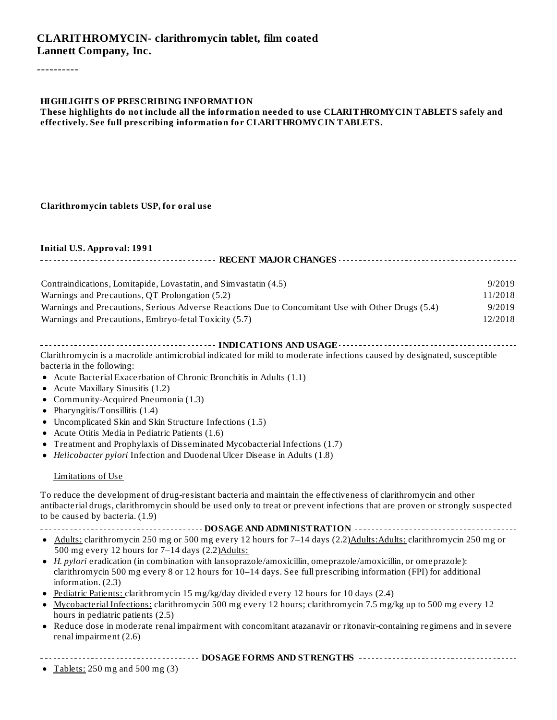----------

#### **HIGHLIGHTS OF PRESCRIBING INFORMATION**

#### **These highlights do not include all the information needed to use CLARITHROMYCIN TABLETS safely and effectively. See full prescribing information for CLARITHROMYCIN TABLETS.**

#### **Clarithromycin tablets USP, for oral use**

#### **Initial U.S. Approval: 1991**

| Contraindications, Lomitapide, Lovastatin, and Simvastatin (4.5)                                  | 9/2019  |
|---------------------------------------------------------------------------------------------------|---------|
| Warnings and Precautions, QT Prolongation (5.2)                                                   | 11/2018 |
| Warnings and Precautions, Serious Adverse Reactions Due to Concomitant Use with Other Drugs (5.4) | 9/2019  |
| Warnings and Precautions, Embryo-fetal Toxicity (5.7)                                             | 12/2018 |

#### **INDICATIONS AND USAGE INDICATIONS AND USAGE** *CONSIDERATIONS* **AND USAGE** *AND* **USAGE** *AND* **USAGE** *AND AND AND AND AND AND AND AND AND AND AND AND AND AND* Clarithromycin is a macrolide antimicrobial indicated for mild to moderate infections caused by designated, susceptible bacteria in the following:

- Acute Bacterial Exacerbation of Chronic Bronchitis in Adults (1.1)
- Acute Maxillary Sinusitis (1.2)
- Community-Acquired Pneumonia (1.3)
- Pharyngitis/Tonsillitis (1.4)
- Uncomplicated Skin and Skin Structure Infections (1.5)
- Acute Otitis Media in Pediatric Patients (1.6)
- Treatment and Prophylaxis of Disseminated Mycobacterial Infections (1.7)
- *Helicobacter pylori* Infection and Duodenal Ulcer Disease in Adults (1.8)  $\bullet$

#### Limitations of Use

To reduce the development of drug-resistant bacteria and maintain the effectiveness of clarithromycin and other antibacterial drugs, clarithromycin should be used only to treat or prevent infections that are proven or strongly suspected to be caused by bacteria. (1.9)

- **DOSAGE AND ADMINISTRATION**
- $\bullet$  Adults: clarithromycin 250 mg or 500 mg every 12 hours for 7–14 days (2.2)Adults: Adults: clarithromycin 250 mg or 500 mg every 12 hours for 7-14 days (2.2) Adults:
- *H. pylori* eradication (in combination with lansoprazole/amoxicillin, omeprazole/amoxicillin, or omeprazole): clarithromycin 500 mg every 8 or 12 hours for 10–14 days. See full prescribing information (FPI) for additional information. (2.3)
- Pediatric Patients: clarithromycin 15 mg/kg/day divided every 12 hours for 10 days (2.4)
- Mycobacterial Infections: clarithromycin 500 mg every 12 hours; clarithromycin 7.5 mg/kg up to 500 mg every 12 hours in pediatric patients (2.5)
- Reduce dose in moderate renal impairment with concomitant atazanavir or ritonavir-containing regimens and in severe  $\bullet$ renal impairment (2.6)

#### **DOSAGE FORMS AND STRENGTHS**

• Tablets:  $250$  mg and  $500$  mg  $(3)$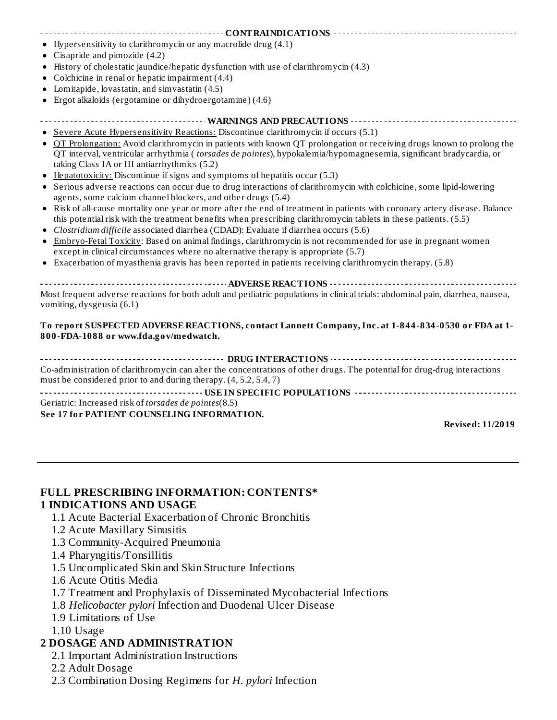# **CONTRAINDICATIONS**

- Hypersensitivity to clarithromycin or any macrolide drug (4.1)
- Cisapride and pimozide (4.2)
- History of cholestatic jaundice/hepatic dysfunction with use of clarithromycin (4.3)
- Colchicine in renal or hepatic impairment (4.4)
- Lomitapide, lovastatin, and simvastatin (4.5)
- Ergot alkaloids (ergotamine or dihydroergotamine) (4.6)
- **WARNINGS AND PRECAUTIONS**

#### Severe Acute Hypersensitivity Reactions: Discontinue clarithromycin if occurs (5.1)

- QT Prolongation: Avoid clarithromycin in patients with known QT prolongation or receiving drugs known to prolong the QT interval, ventricular arrhythmia ( *torsades de pointes*), hypokalemia/hypomagnesemia, significant bradycardia, or taking Class IA or III antiarrhythmics (5.2)
- Hepatotoxicity: Discontinue if signs and symptoms of hepatitis occur (5.3)
- Serious adverse reactions can occur due to drug interactions of clarithromycin with colchicine, some lipid-lowering agents, some calcium channel blockers, and other drugs (5.4)
- Risk of all-cause mortality one year or more after the end of treatment in patients with coronary artery disease. Balance this potential risk with the treatment benefits when prescribing clarithromycin tablets in these patients. (5.5)
- *Clostridium difficile* associated diarrhea (CDAD): Evaluate if diarrhea occurs (5.6)  $\bullet$
- Embryo-Fetal Toxicity: Based on animal findings, clarithromycin is not recommended for use in pregnant women except in clinical circumstances where no alternative therapy is appropriate (5.7)
- Exacerbation of myasthenia gravis has been reported in patients receiving clarithromycin therapy. (5.8)  $\bullet$

#### **ADVERSE REACTIONS**

Most frequent adverse reactions for both adult and pediatric populations in clinical trials: abdominal pain, diarrhea, nausea, vomiting, dysgeusia (6.1)

#### **To report SUSPECTED ADVERSE REACTIONS, contact Lannett Company, Inc. at 1-844-834-0530 or FDA at 1- 800-FDA-1088 or www.fda.gov/medwatch.**

#### **DRUG INTERACTIONS CONSERVATIONS CONSERVATIONS CONSERVATIONS CONSERVATIONS**

Co-administration of clarithromycin can alter the concentrations of other drugs. The potential for drug-drug interactions must be considered prior to and during therapy. (4, 5.2, 5.4, 7)

**USE IN SPECIFIC POPULATIONS** Geriatric: Increased risk of *torsades de pointes*(8.5) **See 17 for PATIENT COUNSELING INFORMATION.**

**Revised: 11/2019**

# **FULL PRESCRIBING INFORMATION: CONTENTS\***

#### **1 INDICATIONS AND USAGE**

- 1.1 Acute Bacterial Exacerbation of Chronic Bronchitis
- 1.2 Acute Maxillary Sinusitis
- 1.3 Community-Acquired Pneumonia
- 1.4 Pharyngitis/Tonsillitis
- 1.5 Uncomplicated Skin and Skin Structure Infections
- 1.6 Acute Otitis Media
- 1.7 Treatment and Prophylaxis of Disseminated Mycobacterial Infections
- 1.8 *Helicobacter pylori* Infection and Duodenal Ulcer Disease
- 1.9 Limitations of Use
- 1.10 Usage

#### **2 DOSAGE AND ADMINISTRATION**

- 2.1 Important Administration Instructions
- 2.2 Adult Dosage
- 2.3 Combination Dosing Regimens for *H. pylori* Infection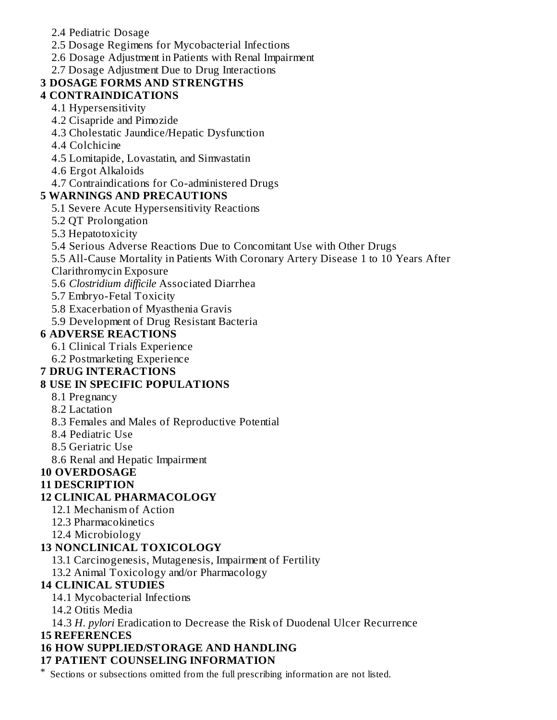- 2.4 Pediatric Dosage
- 2.5 Dosage Regimens for Mycobacterial Infections
- 2.6 Dosage Adjustment in Patients with Renal Impairment
- 2.7 Dosage Adjustment Due to Drug Interactions

# **3 DOSAGE FORMS AND STRENGTHS**

# **4 CONTRAINDICATIONS**

- 4.1 Hypersensitivity
- 4.2 Cisapride and Pimozide
- 4.3 Cholestatic Jaundice/Hepatic Dysfunction
- 4.4 Colchicine
- 4.5 Lomitapide, Lovastatin, and Simvastatin
- 4.6 Ergot Alkaloids
- 4.7 Contraindications for Co-administered Drugs

# **5 WARNINGS AND PRECAUTIONS**

- 5.1 Severe Acute Hypersensitivity Reactions
- 5.2 QT Prolongation
- 5.3 Hepatotoxicity
- 5.4 Serious Adverse Reactions Due to Concomitant Use with Other Drugs
- 5.5 All-Cause Mortality in Patients With Coronary Artery Disease 1 to 10 Years After
- Clarithromycin Exposure
- 5.6 *Clostridium difficile* Associated Diarrhea
- 5.7 Embryo-Fetal Toxicity
- 5.8 Exacerbation of Myasthenia Gravis
- 5.9 Development of Drug Resistant Bacteria

# **6 ADVERSE REACTIONS**

- 6.1 Clinical Trials Experience
- 6.2 Postmarketing Experience

# **7 DRUG INTERACTIONS**

# **8 USE IN SPECIFIC POPULATIONS**

- 8.1 Pregnancy
- 8.2 Lactation
- 8.3 Females and Males of Reproductive Potential
- 8.4 Pediatric Use
- 8.5 Geriatric Use
- 8.6 Renal and Hepatic Impairment

# **10 OVERDOSAGE**

# **11 DESCRIPTION**

# **12 CLINICAL PHARMACOLOGY**

- 12.1 Mechanism of Action
- 12.3 Pharmacokinetics
- 12.4 Microbiology

# **13 NONCLINICAL TOXICOLOGY**

- 13.1 Carcinogenesis, Mutagenesis, Impairment of Fertility
- 13.2 Animal Toxicology and/or Pharmacology

# **14 CLINICAL STUDIES**

- 14.1 Mycobacterial Infections
- 14.2 Otitis Media
- 14.3 *H. pylori* Eradication to Decrease the Risk of Duodenal Ulcer Recurrence

# **15 REFERENCES**

# **16 HOW SUPPLIED/STORAGE AND HANDLING**

# **17 PATIENT COUNSELING INFORMATION**

\* Sections or subsections omitted from the full prescribing information are not listed.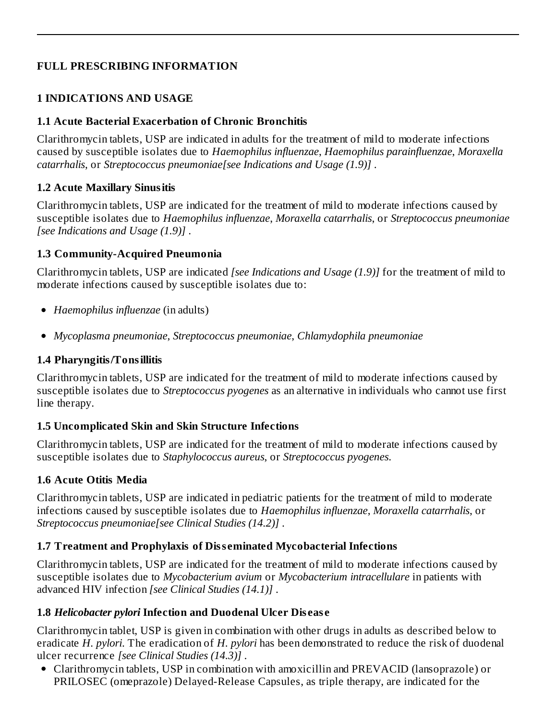## **FULL PRESCRIBING INFORMATION**

## **1 INDICATIONS AND USAGE**

#### **1.1 Acute Bacterial Exacerbation of Chronic Bronchitis**

Clarithromycin tablets, USP are indicated in adults for the treatment of mild to moderate infections caused by susceptible isolates due to *Haemophilus influenzae*, *Haemophilus parainfluenzae*, *Moraxella catarrhalis*, or *Streptococcus pneumoniae[see Indications and Usage (1.9)]* .

#### **1.2 Acute Maxillary Sinusitis**

Clarithromycin tablets, USP are indicated for the treatment of mild to moderate infections caused by susceptible isolates due to *Haemophilus influenzae*, *Moraxella catarrhalis*, or *Streptococcus pneumoniae [see Indications and Usage (1.9)]* .

#### **1.3 Community-Acquired Pneumonia**

Clarithromycin tablets, USP are indicated *[see Indications and Usage (1.9)]* for the treatment of mild to moderate infections caused by susceptible isolates due to:

- *Haemophilus influenzae* (in adults)
- *Mycoplasma pneumoniae*, *Streptococcus pneumoniae*, *Chlamydophila pneumoniae*

#### **1.4 Pharyngitis/Tonsillitis**

Clarithromycin tablets, USP are indicated for the treatment of mild to moderate infections caused by susceptible isolates due to *Streptococcus pyogenes* as an alternative in individuals who cannot use first line therapy.

#### **1.5 Uncomplicated Skin and Skin Structure Infections**

Clarithromycin tablets, USP are indicated for the treatment of mild to moderate infections caused by susceptible isolates due to *Staphylococcus aureus*, or *Streptococcus pyogenes*.

#### **1.6 Acute Otitis Media**

Clarithromycin tablets, USP are indicated in pediatric patients for the treatment of mild to moderate infections caused by susceptible isolates due to *Haemophilus influenzae*, *Moraxella catarrhalis*, or *Streptococcus pneumoniae[see Clinical Studies (14.2)]* .

#### **1.7 Treatment and Prophylaxis of Diss eminated Mycobacterial Infections**

Clarithromycin tablets, USP are indicated for the treatment of mild to moderate infections caused by susceptible isolates due to *Mycobacterium avium* or *Mycobacterium intracellulare* in patients with advanced HIV infection *[see Clinical Studies (14.1)]* .

#### **1.8** *Helicobacter pylori* **Infection and Duodenal Ulcer Dis eas e**

Clarithromycin tablet, USP is given in combination with other drugs in adults as described below to eradicate *H. pylori*. The eradication of *H. pylori* has been demonstrated to reduce the risk of duodenal ulcer recurrence *[see Clinical Studies (14.3)]* .

Clarithromycin tablets, USP in combination with amoxicillin and PREVACID (lansoprazole) or PRILOSEC (omeprazole) Delayed-Release Capsules, as triple therapy, are indicated for the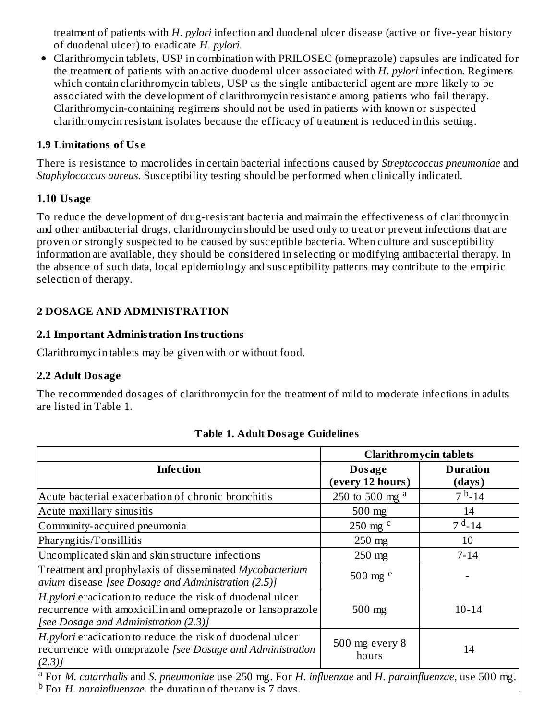treatment of patients with *H. pylori* infection and duodenal ulcer disease (active or five-year history of duodenal ulcer) to eradicate *H. pylori*.

Clarithromycin tablets, USP in combination with PRILOSEC (omeprazole) capsules are indicated for the treatment of patients with an active duodenal ulcer associated with *H. pylori* infection. Regimens which contain clarithromycin tablets, USP as the single antibacterial agent are more likely to be associated with the development of clarithromycin resistance among patients who fail therapy. Clarithromycin-containing regimens should not be used in patients with known or suspected clarithromycin resistant isolates because the efficacy of treatment is reduced in this setting.

#### **1.9 Limitations of Us e**

There is resistance to macrolides in certain bacterial infections caused by *Streptococcus pneumoniae* and *Staphylococcus aureus*. Susceptibility testing should be performed when clinically indicated.

#### **1.10 Usage**

To reduce the development of drug-resistant bacteria and maintain the effectiveness of clarithromycin and other antibacterial drugs, clarithromycin should be used only to treat or prevent infections that are proven or strongly suspected to be caused by susceptible bacteria. When culture and susceptibility information are available, they should be considered in selecting or modifying antibacterial therapy. In the absence of such data, local epidemiology and susceptibility patterns may contribute to the empiric selection of therapy.

#### **2 DOSAGE AND ADMINISTRATION**

#### **2.1 Important Administration Instructions**

Clarithromycin tablets may be given with or without food.

#### **2.2 Adult Dosage**

The recommended dosages of clarithromycin for the treatment of mild to moderate infections in adults are listed in Table 1.

|                                                                                                                                                                  | <b>Clarithromycin tablets</b> |                           |
|------------------------------------------------------------------------------------------------------------------------------------------------------------------|-------------------------------|---------------------------|
| <b>Infection</b>                                                                                                                                                 | Dosage<br>(every 12 hours)    | <b>Duration</b><br>(days) |
| Acute bacterial exacerbation of chronic bronchitis                                                                                                               | 250 to 500 mg $a$             | $7b - 14$                 |
| Acute maxillary sinusitis                                                                                                                                        | $500$ mg                      | 14                        |
| Community-acquired pneumonia                                                                                                                                     | 250 mg $c$                    | $7d - 14$                 |
| Pharyngitis/Tonsillitis                                                                                                                                          | $250$ mg                      | 10                        |
| Uncomplicated skin and skin structure infections                                                                                                                 | $250$ mg                      | $7 - 14$                  |
| Treatment and prophylaxis of disseminated Mycobacterium<br>avium disease [see Dosage and Administration (2.5)]                                                   | 500 mg $e$                    |                           |
| H.pylori eradication to reduce the risk of duodenal ulcer<br>recurrence with amoxicillin and omeprazole or lansoprazole<br>[see Dosage and Administration (2.3)] | $500$ mg                      | $10 - 14$                 |
| H.pylori eradication to reduce the risk of duodenal ulcer<br>recurrence with omeprazole [see Dosage and Administration<br>$(2.3)$ ]                              | 500 mg every 8<br>hours       | 14                        |

#### **Table 1. Adult Dosage Guidelines**

For *M. catarrhalis* and *S. pneumoniae* use 250 mg. For *H. influenzae* and *H. parainfluenzae*, use 500 mg. b For *H. narainfluenzae*, the duration of therany is 7 days. a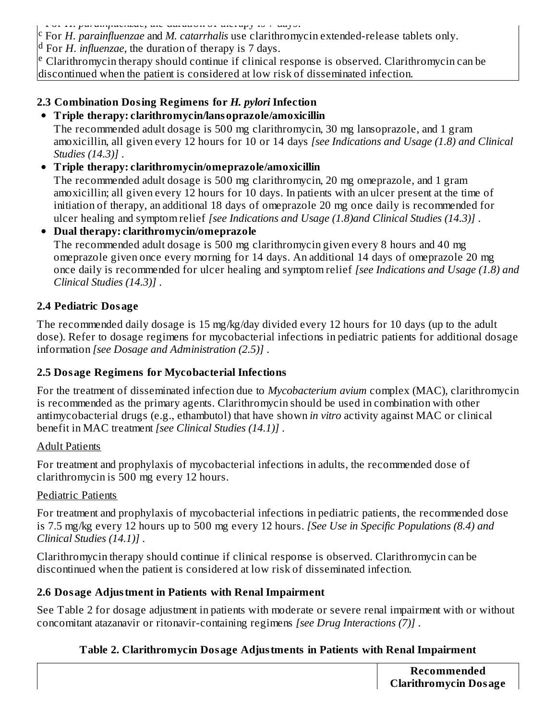For *H. parainfluenzae*, the duration of therapy is 7 days.

For *H. parainfluenzae* and *M. catarrhalis* use clarithromycin extended-release tablets only. c

<sup>d</sup> For *H. influenzae*, the duration of therapy is 7 days.

<sup>e</sup> Clarithromycin therapy should continue if clinical response is observed. Clarithromycin can be discontinued when the patient is considered at low risk of disseminated infection.

# **2.3 Combination Dosing Regimens for** *H. pylori* **Infection**

#### **Triple therapy: clarithromycin/lansoprazole/amoxicillin**

The recommended adult dosage is 500 mg clarithromycin, 30 mg lansoprazole, and 1 gram amoxicillin, all given every 12 hours for 10 or 14 days *[see Indications and Usage (1.8) and Clinical Studies (14.3)]* .

## **Triple therapy: clarithromycin/omeprazole/amoxicillin**

The recommended adult dosage is 500 mg clarithromycin, 20 mg omeprazole, and 1 gram amoxicillin; all given every 12 hours for 10 days. In patients with an ulcer present at the time of initiation of therapy, an additional 18 days of omeprazole 20 mg once daily is recommended for ulcer healing and symptom relief *[see Indications and Usage (1.8)and Clinical Studies (14.3)]* .

#### **Dual therapy: clarithromycin/omeprazole**

The recommended adult dosage is 500 mg clarithromycin given every 8 hours and 40 mg omeprazole given once every morning for 14 days. An additional 14 days of omeprazole 20 mg once daily is recommended for ulcer healing and symptom relief *[see Indications and Usage (1.8) and Clinical Studies (14.3)]* .

#### **2.4 Pediatric Dosage**

The recommended daily dosage is 15 mg/kg/day divided every 12 hours for 10 days (up to the adult dose). Refer to dosage regimens for mycobacterial infections in pediatric patients for additional dosage information *[see Dosage and Administration (2.5)]* .

# **2.5 Dosage Regimens for Mycobacterial Infections**

For the treatment of disseminated infection due to *Mycobacterium avium* complex (MAC), clarithromycin is recommended as the primary agents. Clarithromycin should be used in combination with other antimycobacterial drugs (e.g., ethambutol) that have shown *in vitro* activity against MAC or clinical benefit in MAC treatment *[see Clinical Studies (14.1)]* .

#### Adult Patients

For treatment and prophylaxis of mycobacterial infections in adults, the recommended dose of clarithromycin is 500 mg every 12 hours.

#### Pediatric Patients

For treatment and prophylaxis of mycobacterial infections in pediatric patients, the recommended dose is 7.5 mg/kg every 12 hours up to 500 mg every 12 hours. *[See Use in Specific Populations (8.4) and Clinical Studies (14.1)]* .

Clarithromycin therapy should continue if clinical response is observed. Clarithromycin can be discontinued when the patient is considered at low risk of disseminated infection.

# **2.6 Dosage Adjustment in Patients with Renal Impairment**

See Table 2 for dosage adjustment in patients with moderate or severe renal impairment with or without concomitant atazanavir or ritonavir-containing regimens *[see Drug Interactions (7)]* .

# **Table 2. Clarithromycin Dosage Adjustments in Patients with Renal Impairment**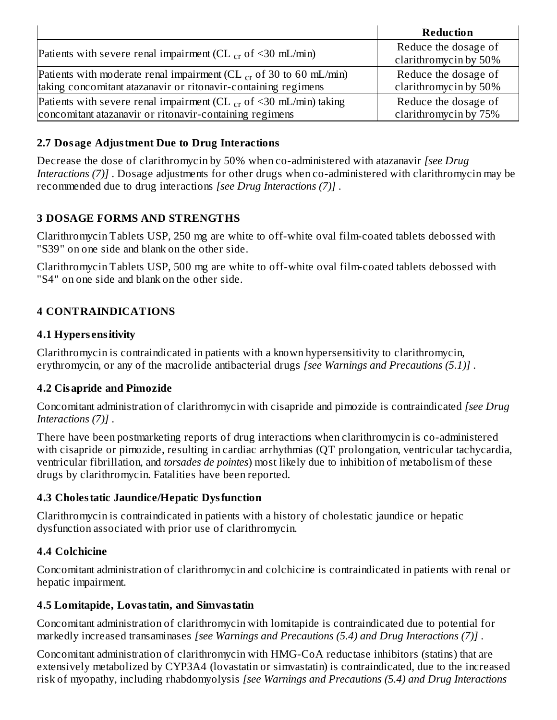|                                                                         | <b>Reduction</b>                              |
|-------------------------------------------------------------------------|-----------------------------------------------|
| Patients with severe renal impairment (CL $_{cr}$ of <30 mL/min)        | Reduce the dosage of<br>clarithromycin by 50% |
| Patients with moderate renal impairment (CL $_{cr}$ of 30 to 60 mL/min) | Reduce the dosage of                          |
| taking concomitant atazanavir or ritonavir-containing regimens          | clarithromycin by 50%                         |
| Patients with severe renal impairment (CL $_{cr}$ of <30 mL/min) taking | Reduce the dosage of                          |
| concomitant atazanavir or ritonavir-containing regimens                 | clarithromycin by 75%                         |

#### **2.7 Dosage Adjustment Due to Drug Interactions**

Decrease the dose of clarithromycin by 50% when co-administered with atazanavir *[see Drug Interactions (7)]* . Dosage adjustments for other drugs when co-administered with clarithromycin may be recommended due to drug interactions *[see Drug Interactions (7)]* .

# **3 DOSAGE FORMS AND STRENGTHS**

Clarithromycin Tablets USP, 250 mg are white to off-white oval film-coated tablets debossed with "S39" on one side and blank on the other side.

Clarithromycin Tablets USP, 500 mg are white to off-white oval film-coated tablets debossed with "S4" on one side and blank on the other side.

# **4 CONTRAINDICATIONS**

#### **4.1 Hypers ensitivity**

Clarithromycin is contraindicated in patients with a known hypersensitivity to clarithromycin, erythromycin, or any of the macrolide antibacterial drugs *[see Warnings and Precautions (5.1)]* .

#### **4.2 Cisapride and Pimozide**

Concomitant administration of clarithromycin with cisapride and pimozide is contraindicated *[see Drug Interactions (7)]* .

There have been postmarketing reports of drug interactions when clarithromycin is co-administered with cisapride or pimozide, resulting in cardiac arrhythmias (QT prolongation, ventricular tachycardia, ventricular fibrillation, and *torsades de pointes*) most likely due to inhibition of metabolism of these drugs by clarithromycin. Fatalities have been reported.

#### **4.3 Cholestatic Jaundice/Hepatic Dysfunction**

Clarithromycin is contraindicated in patients with a history of cholestatic jaundice or hepatic dysfunction associated with prior use of clarithromycin.

#### **4.4 Colchicine**

Concomitant administration of clarithromycin and colchicine is contraindicated in patients with renal or hepatic impairment.

#### **4.5 Lomitapide, Lovastatin, and Simvastatin**

Concomitant administration of clarithromycin with lomitapide is contraindicated due to potential for markedly increased transaminases *[see Warnings and Precautions (5.4) and Drug Interactions (7)]* .

Concomitant administration of clarithromycin with HMG-CoA reductase inhibitors (statins) that are extensively metabolized by CYP3A4 (lovastatin or simvastatin) is contraindicated, due to the increased risk of myopathy, including rhabdomyolysis *[see Warnings and Precautions (5.4) and Drug Interactions*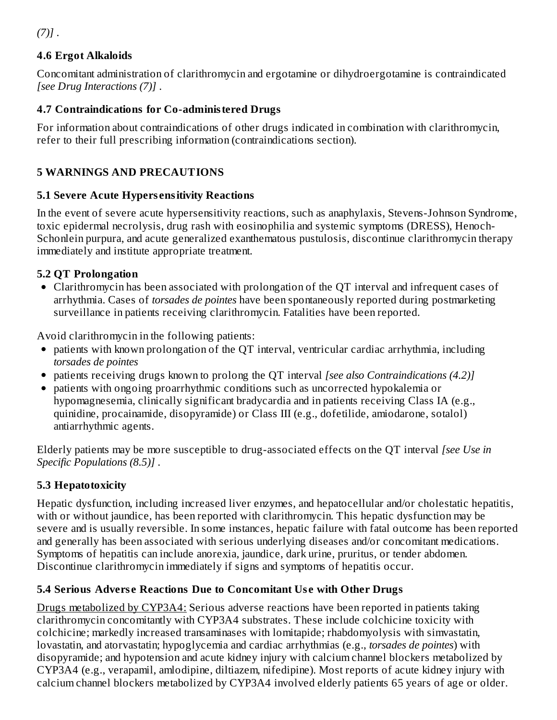*(7)]* .

# **4.6 Ergot Alkaloids**

Concomitant administration of clarithromycin and ergotamine or dihydroergotamine is contraindicated *[see Drug Interactions (7)]* .

# **4.7 Contraindications for Co-administered Drugs**

For information about contraindications of other drugs indicated in combination with clarithromycin, refer to their full prescribing information (contraindications section).

# **5 WARNINGS AND PRECAUTIONS**

# **5.1 Severe Acute Hypers ensitivity Reactions**

In the event of severe acute hypersensitivity reactions, such as anaphylaxis, Stevens-Johnson Syndrome, toxic epidermal necrolysis, drug rash with eosinophilia and systemic symptoms (DRESS), Henoch-Schonlein purpura, and acute generalized exanthematous pustulosis, discontinue clarithromycin therapy immediately and institute appropriate treatment.

# **5.2 QT Prolongation**

Clarithromycin has been associated with prolongation of the QT interval and infrequent cases of arrhythmia. Cases of *torsades de pointes* have been spontaneously reported during postmarketing surveillance in patients receiving clarithromycin. Fatalities have been reported.

Avoid clarithromycin in the following patients:

- patients with known prolongation of the QT interval, ventricular cardiac arrhythmia, including *torsades de pointes*
- patients receiving drugs known to prolong the QT interval *[see also Contraindications (4.2)]*
- patients with ongoing proarrhythmic conditions such as uncorrected hypokalemia or hypomagnesemia, clinically significant bradycardia and in patients receiving Class IA (e.g., quinidine, procainamide, disopyramide) or Class III (e.g., dofetilide, amiodarone, sotalol) antiarrhythmic agents.

Elderly patients may be more susceptible to drug-associated effects on the QT interval *[see Use in Specific Populations (8.5)]* .

# **5.3 Hepatotoxicity**

Hepatic dysfunction, including increased liver enzymes, and hepatocellular and/or cholestatic hepatitis, with or without jaundice, has been reported with clarithromycin. This hepatic dysfunction may be severe and is usually reversible. In some instances, hepatic failure with fatal outcome has been reported and generally has been associated with serious underlying diseases and/or concomitant medications. Symptoms of hepatitis can include anorexia, jaundice, dark urine, pruritus, or tender abdomen. Discontinue clarithromycin immediately if signs and symptoms of hepatitis occur.

# **5.4 Serious Advers e Reactions Due to Concomitant Us e with Other Drugs**

Drugs metabolized by CYP3A4: Serious adverse reactions have been reported in patients taking clarithromycin concomitantly with CYP3A4 substrates. These include colchicine toxicity with colchicine; markedly increased transaminases with lomitapide; rhabdomyolysis with simvastatin, lovastatin, and atorvastatin; hypoglycemia and cardiac arrhythmias (e.g., *torsades de pointes*) with disopyramide; and hypotension and acute kidney injury with calcium channel blockers metabolized by CYP3A4 (e.g., verapamil, amlodipine, diltiazem, nifedipine). Most reports of acute kidney injury with calcium channel blockers metabolized by CYP3A4 involved elderly patients 65 years of age or older.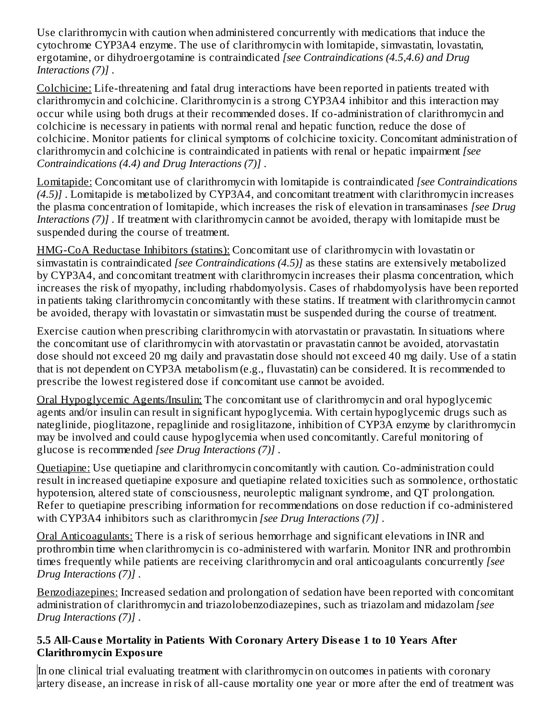Use clarithromycin with caution when administered concurrently with medications that induce the cytochrome CYP3A4 enzyme. The use of clarithromycin with lomitapide, simvastatin, lovastatin, ergotamine, or dihydroergotamine is contraindicated *[see Contraindications (4.5,4.6) and Drug Interactions (7)]* .

Colchicine: Life-threatening and fatal drug interactions have been reported in patients treated with clarithromycin and colchicine. Clarithromycin is a strong CYP3A4 inhibitor and this interaction may occur while using both drugs at their recommended doses. If co-administration of clarithromycin and colchicine is necessary in patients with normal renal and hepatic function, reduce the dose of colchicine. Monitor patients for clinical symptoms of colchicine toxicity. Concomitant administration of clarithromycin and colchicine is contraindicated in patients with renal or hepatic impairment *[see Contraindications (4.4) and Drug Interactions (7)]* .

Lomitapide: Concomitant use of clarithromycin with lomitapide is contraindicated *[see Contraindications (4.5)]* . Lomitapide is metabolized by CYP3A4, and concomitant treatment with clarithromycin increases the plasma concentration of lomitapide, which increases the risk of elevation in transaminases *[see Drug Interactions (7)]* . If treatment with clarithromycin cannot be avoided, therapy with lomitapide must be suspended during the course of treatment.

HMG-CoA Reductase Inhibitors (statins): Concomitant use of clarithromycin with lovastatin or simvastatin is contraindicated *[see Contraindications (4.5)]* as these statins are extensively metabolized by CYP3A4, and concomitant treatment with clarithromycin increases their plasma concentration, which increases the risk of myopathy, including rhabdomyolysis. Cases of rhabdomyolysis have been reported in patients taking clarithromycin concomitantly with these statins. If treatment with clarithromycin cannot be avoided, therapy with lovastatin or simvastatin must be suspended during the course of treatment.

Exercise caution when prescribing clarithromycin with atorvastatin or pravastatin. In situations where the concomitant use of clarithromycin with atorvastatin or pravastatin cannot be avoided, atorvastatin dose should not exceed 20 mg daily and pravastatin dose should not exceed 40 mg daily. Use of a statin that is not dependent on CYP3A metabolism (e.g., fluvastatin) can be considered. It is recommended to prescribe the lowest registered dose if concomitant use cannot be avoided.

Oral Hypoglycemic Agents/Insulin: The concomitant use of clarithromycin and oral hypoglycemic agents and/or insulin can result in significant hypoglycemia. With certain hypoglycemic drugs such as nateglinide, pioglitazone, repaglinide and rosiglitazone, inhibition of CYP3A enzyme by clarithromycin may be involved and could cause hypoglycemia when used concomitantly. Careful monitoring of glucose is recommended *[see Drug Interactions (7)]* .

Quetiapine: Use quetiapine and clarithromycin concomitantly with caution. Co-administration could result in increased quetiapine exposure and quetiapine related toxicities such as somnolence, orthostatic hypotension, altered state of consciousness, neuroleptic malignant syndrome, and QT prolongation. Refer to quetiapine prescribing information for recommendations on dose reduction if co-administered with CYP3A4 inhibitors such as clarithromycin *[see Drug Interactions (7)]* .

Oral Anticoagulants: There is a risk of serious hemorrhage and significant elevations in INR and prothrombin time when clarithromycin is co-administered with warfarin. Monitor INR and prothrombin times frequently while patients are receiving clarithromycin and oral anticoagulants concurrently *[see Drug Interactions (7)]* .

Benzodiazepines: Increased sedation and prolongation of sedation have been reported with concomitant administration of clarithromycin and triazolobenzodiazepines, such as triazolam and midazolam *[see Drug Interactions (7)]* .

#### **5.5 All-Caus e Mortality in Patients With Coronary Artery Dis eas e 1 to 10 Years After Clarithromycin Exposure**

In one clinical trial evaluating treatment with clarithromycin on outcomes in patients with coronary artery disease, an increase in risk of all-cause mortality one year or more after the end of treatment was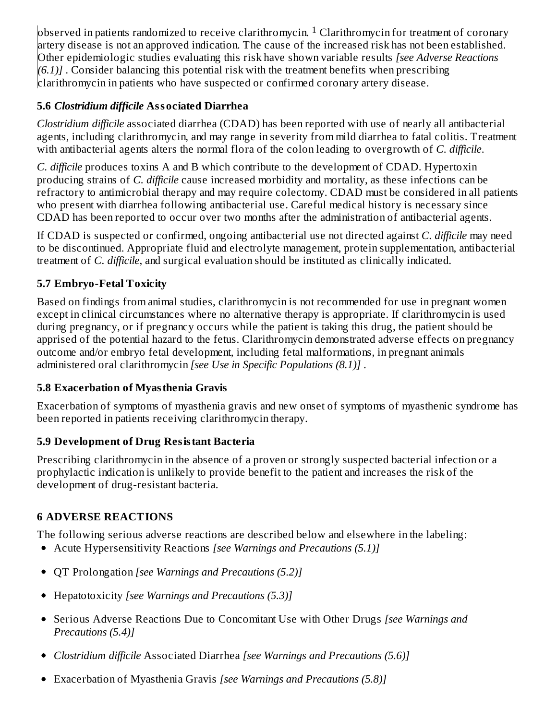$\rm{observed}$  in patients randomized to receive clarithromycin.  $\rm{^1}$  Clarithromycin for treatment of coronary artery disease is not an approved indication. The cause of the increased risk has not been established. Other epidemiologic studies evaluating this risk have shown variable results *[see Adverse Reactions (6.1)]* . Consider balancing this potential risk with the treatment benefits when prescribing clarithromycin in patients who have suspected or confirmed coronary artery disease.

# **5.6** *Clostridium difficile* **Associated Diarrhea**

*Clostridium difficile* associated diarrhea (CDAD) has been reported with use of nearly all antibacterial agents, including clarithromycin, and may range in severity from mild diarrhea to fatal colitis. Treatment with antibacterial agents alters the normal flora of the colon leading to overgrowth of *C. difficile*.

*C. difficile* produces toxins A and B which contribute to the development of CDAD. Hypertoxin producing strains of *C. difficile* cause increased morbidity and mortality, as these infections can be refractory to antimicrobial therapy and may require colectomy. CDAD must be considered in all patients who present with diarrhea following antibacterial use. Careful medical history is necessary since CDAD has been reported to occur over two months after the administration of antibacterial agents.

If CDAD is suspected or confirmed, ongoing antibacterial use not directed against *C. difficile* may need to be discontinued. Appropriate fluid and electrolyte management, protein supplementation, antibacterial treatment of *C. difficile*, and surgical evaluation should be instituted as clinically indicated.

# **5.7 Embryo-Fetal Toxicity**

Based on findings from animal studies, clarithromycin is not recommended for use in pregnant women except in clinical circumstances where no alternative therapy is appropriate. If clarithromycin is used during pregnancy, or if pregnancy occurs while the patient is taking this drug, the patient should be apprised of the potential hazard to the fetus. Clarithromycin demonstrated adverse effects on pregnancy outcome and/or embryo fetal development, including fetal malformations, in pregnant animals administered oral clarithromycin *[see Use in Specific Populations (8.1)]* .

# **5.8 Exacerbation of Myasthenia Gravis**

Exacerbation of symptoms of myasthenia gravis and new onset of symptoms of myasthenic syndrome has been reported in patients receiving clarithromycin therapy.

# **5.9 Development of Drug Resistant Bacteria**

Prescribing clarithromycin in the absence of a proven or strongly suspected bacterial infection or a prophylactic indication is unlikely to provide benefit to the patient and increases the risk of the development of drug-resistant bacteria.

# **6 ADVERSE REACTIONS**

The following serious adverse reactions are described below and elsewhere in the labeling:

- Acute Hypersensitivity Reactions *[see Warnings and Precautions (5.1)]*
- QT Prolongation *[see Warnings and Precautions (5.2)]*
- Hepatotoxicity *[see Warnings and Precautions (5.3)]*
- Serious Adverse Reactions Due to Concomitant Use with Other Drugs *[see Warnings and Precautions (5.4)]*
- *Clostridium difficile* Associated Diarrhea *[see Warnings and Precautions (5.6)]*
- Exacerbation of Myasthenia Gravis *[see Warnings and Precautions (5.8)]*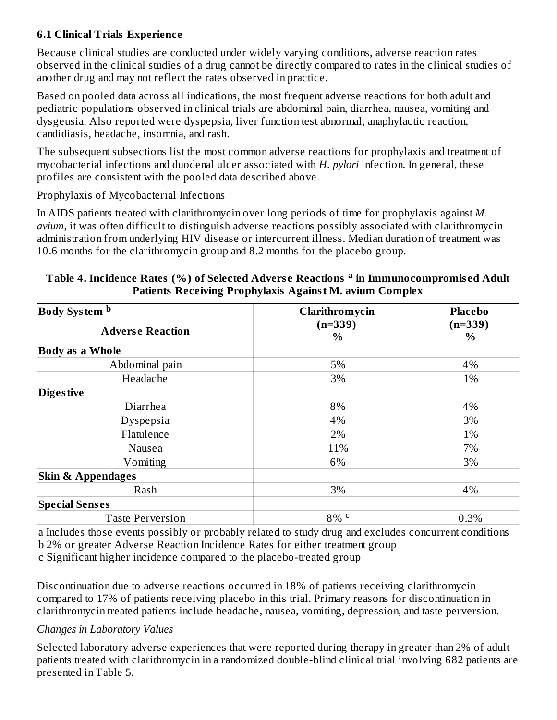#### **6.1 Clinical Trials Experience**

Because clinical studies are conducted under widely varying conditions, adverse reaction rates observed in the clinical studies of a drug cannot be directly compared to rates in the clinical studies of another drug and may not reflect the rates observed in practice.

Based on pooled data across all indications, the most frequent adverse reactions for both adult and pediatric populations observed in clinical trials are abdominal pain, diarrhea, nausea, vomiting and dysgeusia. Also reported were dyspepsia, liver function test abnormal, anaphylactic reaction, candidiasis, headache, insomnia, and rash.

The subsequent subsections list the most common adverse reactions for prophylaxis and treatment of mycobacterial infections and duodenal ulcer associated with *H. pylori* infection. In general, these profiles are consistent with the pooled data described above.

#### Prophylaxis of Mycobacterial Infections

In AIDS patients treated with clarithromycin over long periods of time for prophylaxis against *M. avium*, it was often difficult to distinguish adverse reactions possibly associated with clarithromycin administration from underlying HIV disease or intercurrent illness. Median duration of treatment was 10.6 months for the clarithromycin group and 8.2 months for the placebo group.

| Body System b                                                                                                                                                                                                                                                | Clarithromycin    | <b>Placebo</b> |
|--------------------------------------------------------------------------------------------------------------------------------------------------------------------------------------------------------------------------------------------------------------|-------------------|----------------|
| <b>Adverse Reaction</b>                                                                                                                                                                                                                                      | $(n=339)$<br>$\%$ | $(n=339)$<br>% |
| <b>Body as a Whole</b>                                                                                                                                                                                                                                       |                   |                |
| Abdominal pain                                                                                                                                                                                                                                               | 5%                | 4%             |
| Headache                                                                                                                                                                                                                                                     | 3%                | 1%             |
| <b>Digestive</b>                                                                                                                                                                                                                                             |                   |                |
| Diarrhea                                                                                                                                                                                                                                                     | 8%                | 4%             |
| Dyspepsia                                                                                                                                                                                                                                                    | 4%                | 3%             |
| Flatulence                                                                                                                                                                                                                                                   | 2%                | 1%             |
| Nausea                                                                                                                                                                                                                                                       | 11%               | 7%             |
| Vomiting                                                                                                                                                                                                                                                     | 6%                | 3%             |
| <b>Skin &amp; Appendages</b>                                                                                                                                                                                                                                 |                   |                |
| Rash                                                                                                                                                                                                                                                         | 3%                | 4%             |
| <b>Special Senses</b>                                                                                                                                                                                                                                        |                   |                |
| <b>Taste Perversion</b>                                                                                                                                                                                                                                      | $8\%$ c           | 0.3%           |
| a Includes those events possibly or probably related to study drug and excludes concurrent conditions<br>b 2% or greater Adverse Reaction Incidence Rates for either treatment group<br>c Significant higher incidence compared to the placebo-treated group |                   |                |

#### **Table 4. Incidence Rates (%) of Selected Advers e Reactions in Immunocompromis ed Adult a Patients Receiving Prophylaxis Against M. avium Complex**

Discontinuation due to adverse reactions occurred in 18% of patients receiving clarithromycin compared to 17% of patients receiving placebo in this trial. Primary reasons for discontinuation in clarithromycin treated patients include headache, nausea, vomiting, depression, and taste perversion.

#### *Changes in Laboratory Values*

Selected laboratory adverse experiences that were reported during therapy in greater than 2% of adult patients treated with clarithromycin in a randomized double-blind clinical trial involving 682 patients are presented in Table 5.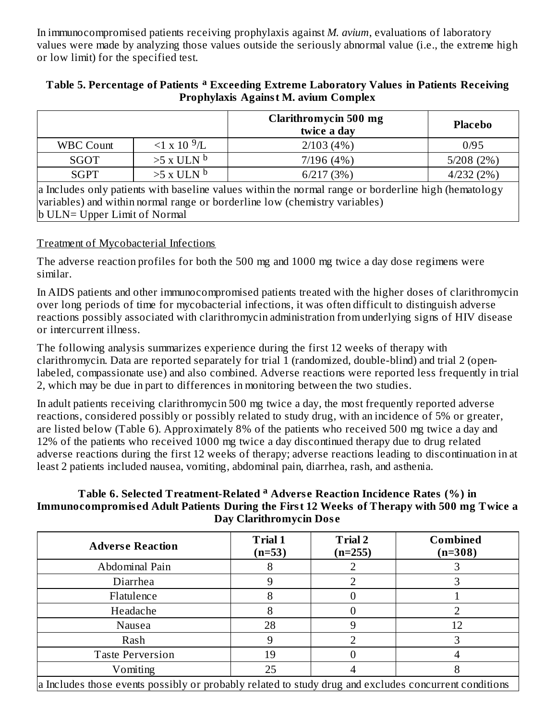In immunocompromised patients receiving prophylaxis against *M. avium*, evaluations of laboratory values were made by analyzing those values outside the seriously abnormal value (i.e., the extreme high or low limit) for the specified test.

#### **Table 5. Percentage of Patients Exceeding Extreme Laboratory Values in Patients Receiving a Prophylaxis Against M. avium Complex**

|                                                                                                                                                                                    |                      | <b>Clarithromycin 500 mg</b><br>twice a day | Placebo   |
|------------------------------------------------------------------------------------------------------------------------------------------------------------------------------------|----------------------|---------------------------------------------|-----------|
| <b>WBC Count</b>                                                                                                                                                                   | $1 \times 10^{-9}$ L | 2/103(4%)                                   | 0/95      |
| SGOT                                                                                                                                                                               | $>5x$ ULN $^{\rm b}$ | 7/196(4%)                                   | 5/208(2%) |
| <b>SGPT</b>                                                                                                                                                                        | $>5x$ ULN $^{\rm b}$ | 6/217(3%)                                   | 4/232(2%) |
| a Includes only patients with baseline values within the normal range or borderline high (hematology<br>variables) and within normal range or borderline low (chemistry variables) |                      |                                             |           |

b ULN= Upper Limit of Normal

Treatment of Mycobacterial Infections

The adverse reaction profiles for both the 500 mg and 1000 mg twice a day dose regimens were similar.

In AIDS patients and other immunocompromised patients treated with the higher doses of clarithromycin over long periods of time for mycobacterial infections, it was often difficult to distinguish adverse reactions possibly associated with clarithromycin administration from underlying signs of HIV disease or intercurrent illness.

The following analysis summarizes experience during the first 12 weeks of therapy with clarithromycin. Data are reported separately for trial 1 (randomized, double-blind) and trial 2 (openlabeled, compassionate use) and also combined. Adverse reactions were reported less frequently in trial 2, which may be due in part to differences in monitoring between the two studies.

In adult patients receiving clarithromycin 500 mg twice a day, the most frequently reported adverse reactions, considered possibly or possibly related to study drug, with an incidence of 5% or greater, are listed below (Table 6). Approximately 8% of the patients who received 500 mg twice a day and 12% of the patients who received 1000 mg twice a day discontinued therapy due to drug related adverse reactions during the first 12 weeks of therapy; adverse reactions leading to discontinuation in at least 2 patients included nausea, vomiting, abdominal pain, diarrhea, rash, and asthenia.

#### **Table 6. Selected Treatment-Related Advers e Reaction Incidence Rates (%) in aImmunocompromis ed Adult Patients During the First 12 Weeks of Therapy with 500 mg Twice a Day Clarithromycin Dos e**

| <b>Adverse Reaction</b>                                                                               | <b>Trial 1</b><br>$(n=53)$ | <b>Trial 2</b><br>$(n=255)$ | <b>Combined</b><br>$(n=308)$ |
|-------------------------------------------------------------------------------------------------------|----------------------------|-----------------------------|------------------------------|
| Abdominal Pain                                                                                        | 8                          |                             |                              |
| Diarrhea                                                                                              | 9                          |                             |                              |
| Flatulence                                                                                            | Õ                          |                             |                              |
| Headache                                                                                              | 8                          |                             |                              |
| Nausea                                                                                                | 28                         |                             | 12                           |
| Rash                                                                                                  | 9                          |                             |                              |
| <b>Taste Perversion</b>                                                                               | 19                         |                             |                              |
| Vomiting                                                                                              | 25                         |                             |                              |
| a Includes those events possibly or probably related to study drug and excludes concurrent conditions |                            |                             |                              |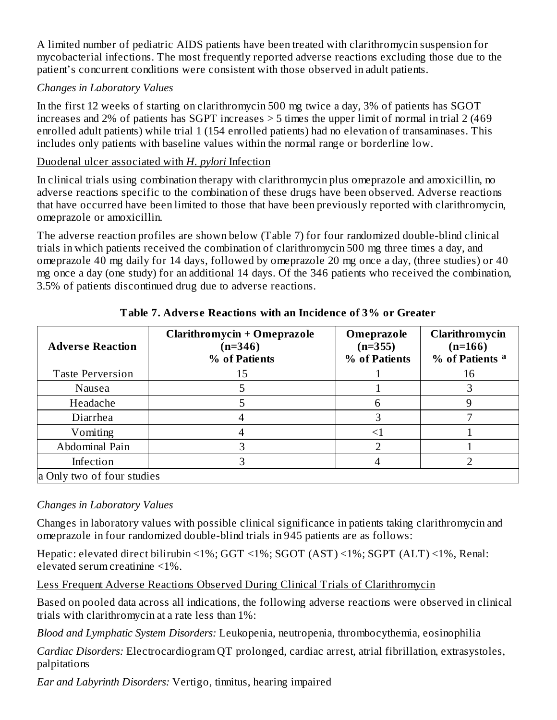A limited number of pediatric AIDS patients have been treated with clarithromycin suspension for mycobacterial infections. The most frequently reported adverse reactions excluding those due to the patient's concurrent conditions were consistent with those observed in adult patients.

#### *Changes in Laboratory Values*

In the first 12 weeks of starting on clarithromycin 500 mg twice a day, 3% of patients has SGOT increases and 2% of patients has SGPT increases > 5 times the upper limit of normal in trial 2 (469 enrolled adult patients) while trial 1 (154 enrolled patients) had no elevation of transaminases. This includes only patients with baseline values within the normal range or borderline low.

#### Duodenal ulcer associated with *H. pylori* Infection

In clinical trials using combination therapy with clarithromycin plus omeprazole and amoxicillin, no adverse reactions specific to the combination of these drugs have been observed. Adverse reactions that have occurred have been limited to those that have been previously reported with clarithromycin, omeprazole or amoxicillin.

The adverse reaction profiles are shown below (Table 7) for four randomized double-blind clinical trials in which patients received the combination of clarithromycin 500 mg three times a day, and omeprazole 40 mg daily for 14 days, followed by omeprazole 20 mg once a day, (three studies) or 40 mg once a day (one study) for an additional 14 days. Of the 346 patients who received the combination, 3.5% of patients discontinued drug due to adverse reactions.

| <b>Adverse Reaction</b>    | <b>Clarithromycin + Omeprazole</b><br>$(n=346)$<br>% of Patients | Omeprazole<br>$(n=355)$<br>% of Patients | Clarithromycin<br>$(n=166)$<br>% of Patients <sup>a</sup> |
|----------------------------|------------------------------------------------------------------|------------------------------------------|-----------------------------------------------------------|
| <b>Taste Perversion</b>    | 15                                                               |                                          | 16                                                        |
| Nausea                     |                                                                  |                                          |                                                           |
| Headache                   |                                                                  | 6                                        |                                                           |
| Diarrhea                   |                                                                  |                                          |                                                           |
| Vomiting                   |                                                                  |                                          |                                                           |
| Abdominal Pain             |                                                                  |                                          |                                                           |
| Infection                  |                                                                  |                                          |                                                           |
| a Only two of four studies |                                                                  |                                          |                                                           |

# **Table 7. Advers e Reactions with an Incidence of 3% or Greater**

# *Changes in Laboratory Values*

Changes in laboratory values with possible clinical significance in patients taking clarithromycin and omeprazole in four randomized double-blind trials in 945 patients are as follows:

Hepatic: elevated direct bilirubin <1%; GGT <1%; SGOT (AST) <1%; SGPT (ALT) <1%, Renal: elevated serum creatinine <1%.

Less Frequent Adverse Reactions Observed During Clinical Trials of Clarithromycin

Based on pooled data across all indications, the following adverse reactions were observed in clinical trials with clarithromycin at a rate less than 1%:

*Blood and Lymphatic System Disorders:* Leukopenia, neutropenia, thrombocythemia, eosinophilia

*Cardiac Disorders:* Electrocardiogram QT prolonged, cardiac arrest, atrial fibrillation, extrasystoles, palpitations

*Ear and Labyrinth Disorders:* Vertigo, tinnitus, hearing impaired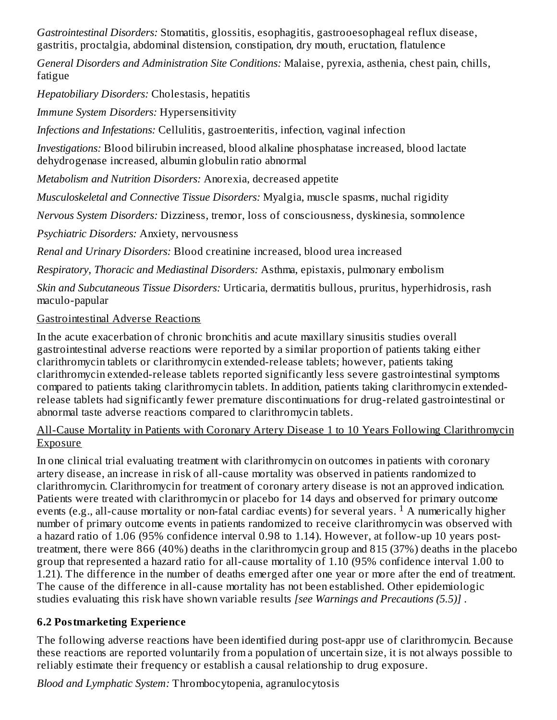*Gastrointestinal Disorders:* Stomatitis, glossitis, esophagitis, gastrooesophageal reflux disease, gastritis, proctalgia, abdominal distension, constipation, dry mouth, eructation, flatulence

*General Disorders and Administration Site Conditions:* Malaise, pyrexia, asthenia, chest pain, chills, fatigue

*Hepatobiliary Disorders:* Cholestasis, hepatitis

*Immune System Disorders:* Hypersensitivity

*Infections and Infestations:* Cellulitis, gastroenteritis, infection, vaginal infection

*Investigations:* Blood bilirubin increased, blood alkaline phosphatase increased, blood lactate dehydrogenase increased, albumin globulin ratio abnormal

*Metabolism and Nutrition Disorders:* Anorexia, decreased appetite

*Musculoskeletal and Connective Tissue Disorders:* Myalgia, muscle spasms, nuchal rigidity

*Nervous System Disorders:* Dizziness, tremor, loss of consciousness, dyskinesia, somnolence

*Psychiatric Disorders:* Anxiety, nervousness

*Renal and Urinary Disorders:* Blood creatinine increased, blood urea increased

*Respiratory, Thoracic and Mediastinal Disorders:* Asthma, epistaxis, pulmonary embolism

*Skin and Subcutaneous Tissue Disorders:* Urticaria, dermatitis bullous, pruritus, hyperhidrosis, rash maculo-papular

# Gastrointestinal Adverse Reactions

In the acute exacerbation of chronic bronchitis and acute maxillary sinusitis studies overall gastrointestinal adverse reactions were reported by a similar proportion of patients taking either clarithromycin tablets or clarithromycin extended-release tablets; however, patients taking clarithromycin extended-release tablets reported significantly less severe gastrointestinal symptoms compared to patients taking clarithromycin tablets. In addition, patients taking clarithromycin extendedrelease tablets had significantly fewer premature discontinuations for drug-related gastrointestinal or abnormal taste adverse reactions compared to clarithromycin tablets.

All-Cause Mortality in Patients with Coronary Artery Disease 1 to 10 Years Following Clarithromycin Exposure

In one clinical trial evaluating treatment with clarithromycin on outcomes in patients with coronary artery disease, an increase in risk of all-cause mortality was observed in patients randomized to clarithromycin. Clarithromycin for treatment of coronary artery disease is not an approved indication. Patients were treated with clarithromycin or placebo for 14 days and observed for primary outcome events (e.g., all-cause mortality or non-fatal cardiac events) for several years. <sup>1</sup> A numerically higher number of primary outcome events in patients randomized to receive clarithromycin was observed with a hazard ratio of 1.06 (95% confidence interval 0.98 to 1.14). However, at follow-up 10 years posttreatment, there were 866 (40%) deaths in the clarithromycin group and 815 (37%) deaths in the placebo group that represented a hazard ratio for all-cause mortality of 1.10 (95% confidence interval 1.00 to 1.21). The difference in the number of deaths emerged after one year or more after the end of treatment. The cause of the difference in all-cause mortality has not been established. Other epidemiologic studies evaluating this risk have shown variable results *[see Warnings and Precautions (5.5)]* .

# **6.2 Postmarketing Experience**

The following adverse reactions have been identified during post-appr use of clarithromycin. Because these reactions are reported voluntarily from a population of uncertain size, it is not always possible to reliably estimate their frequency or establish a causal relationship to drug exposure.

*Blood and Lymphatic System:* Thrombocytopenia, agranulocytosis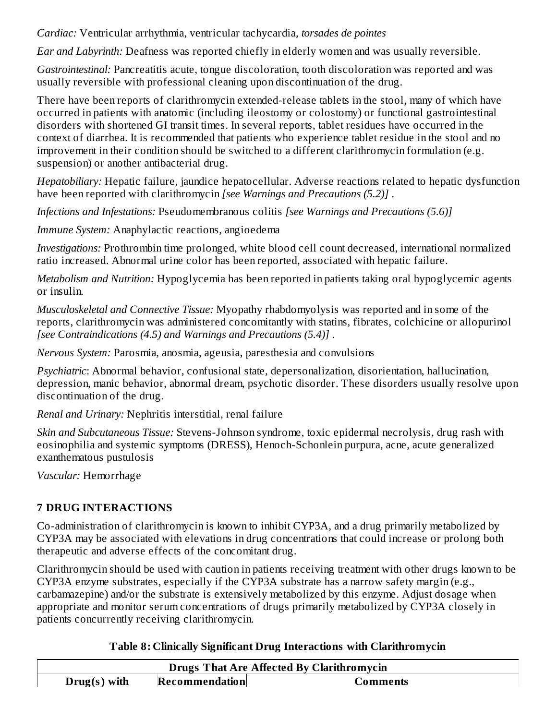*Cardiac:* Ventricular arrhythmia, ventricular tachycardia, *torsades de pointes*

*Ear and Labyrinth:* Deafness was reported chiefly in elderly women and was usually reversible.

*Gastrointestinal:* Pancreatitis acute, tongue discoloration, tooth discoloration was reported and was usually reversible with professional cleaning upon discontinuation of the drug.

There have been reports of clarithromycin extended-release tablets in the stool, many of which have occurred in patients with anatomic (including ileostomy or colostomy) or functional gastrointestinal disorders with shortened GI transit times. In several reports, tablet residues have occurred in the context of diarrhea. It is recommended that patients who experience tablet residue in the stool and no improvement in their condition should be switched to a different clarithromycin formulation (e.g. suspension) or another antibacterial drug.

*Hepatobiliary:* Hepatic failure, jaundice hepatocellular. Adverse reactions related to hepatic dysfunction have been reported with clarithromycin *[see Warnings and Precautions (5.2)]* .

*Infections and Infestations:* Pseudomembranous colitis *[see Warnings and Precautions (5.6)]*

*Immune System:* Anaphylactic reactions, angioedema

*Investigations:* Prothrombin time prolonged, white blood cell count decreased, international normalized ratio increased. Abnormal urine color has been reported, associated with hepatic failure.

*Metabolism and Nutrition:* Hypoglycemia has been reported in patients taking oral hypoglycemic agents or insulin.

*Musculoskeletal and Connective Tissue:* Myopathy rhabdomyolysis was reported and in some of the reports, clarithromycin was administered concomitantly with statins, fibrates, colchicine or allopurinol *[see Contraindications (4.5) and Warnings and Precautions (5.4)]* .

*Nervous System:* Parosmia, anosmia, ageusia, paresthesia and convulsions

*Psychiatric*: Abnormal behavior, confusional state, depersonalization, disorientation, hallucination, depression, manic behavior, abnormal dream, psychotic disorder. These disorders usually resolve upon discontinuation of the drug.

*Renal and Urinary:* Nephritis interstitial, renal failure

*Skin and Subcutaneous Tissue:* Stevens-Johnson syndrome, toxic epidermal necrolysis, drug rash with eosinophilia and systemic symptoms (DRESS), Henoch-Schonlein purpura, acne, acute generalized exanthematous pustulosis

*Vascular:* Hemorrhage

# **7 DRUG INTERACTIONS**

Co-administration of clarithromycin is known to inhibit CYP3A, and a drug primarily metabolized by CYP3A may be associated with elevations in drug concentrations that could increase or prolong both therapeutic and adverse effects of the concomitant drug.

Clarithromycin should be used with caution in patients receiving treatment with other drugs known to be CYP3A enzyme substrates, especially if the CYP3A substrate has a narrow safety margin (e.g., carbamazepine) and/or the substrate is extensively metabolized by this enzyme. Adjust dosage when appropriate and monitor serum concentrations of drugs primarily metabolized by CYP3A closely in patients concurrently receiving clarithromycin.

**Table 8: Clinically Significant Drug Interactions with Clarithromycin**

| <b>Drugs That Are Affected By Clarithromycin</b> |                |          |  |
|--------------------------------------------------|----------------|----------|--|
| $Drug(s)$ with                                   | Recommendation | Comments |  |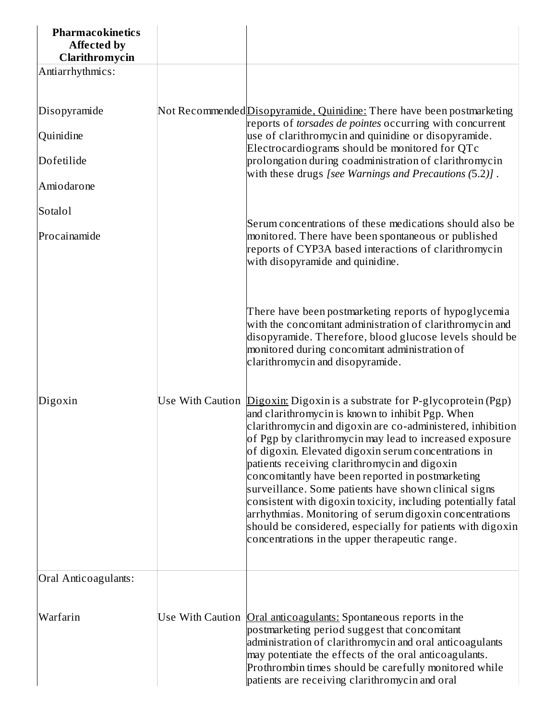| <b>Pharmacokinetics</b><br><b>Affected by</b><br>Clarithromycin |                                                                                                                                                                                                                                                                                                                                                                                                                                                                                                                                                                                                                                                                                                                                  |
|-----------------------------------------------------------------|----------------------------------------------------------------------------------------------------------------------------------------------------------------------------------------------------------------------------------------------------------------------------------------------------------------------------------------------------------------------------------------------------------------------------------------------------------------------------------------------------------------------------------------------------------------------------------------------------------------------------------------------------------------------------------------------------------------------------------|
| Antiarrhythmics:                                                |                                                                                                                                                                                                                                                                                                                                                                                                                                                                                                                                                                                                                                                                                                                                  |
| Disopyramide                                                    | Not Recommended Disopyramide, Quinidine: There have been postmarketing<br>reports of <i>torsades de pointes</i> occurring with concurrent                                                                                                                                                                                                                                                                                                                                                                                                                                                                                                                                                                                        |
| Quinidine                                                       | use of clarithromycin and quinidine or disopyramide.<br>Electrocardiograms should be monitored for QTc                                                                                                                                                                                                                                                                                                                                                                                                                                                                                                                                                                                                                           |
| Dofetilide                                                      | prolongation during coadministration of clarithromycin<br>with these drugs [see Warnings and Precautions (5.2)].                                                                                                                                                                                                                                                                                                                                                                                                                                                                                                                                                                                                                 |
| Amiodarone                                                      |                                                                                                                                                                                                                                                                                                                                                                                                                                                                                                                                                                                                                                                                                                                                  |
| Sotalol                                                         | Serum concentrations of these medications should also be                                                                                                                                                                                                                                                                                                                                                                                                                                                                                                                                                                                                                                                                         |
| Procainamide                                                    | monitored. There have been spontaneous or published<br>reports of CYP3A based interactions of clarithromycin<br>with disopyramide and quinidine.                                                                                                                                                                                                                                                                                                                                                                                                                                                                                                                                                                                 |
|                                                                 | There have been postmarketing reports of hypoglycemia<br>with the concomitant administration of clarithromycin and<br>disopyramide. Therefore, blood glucose levels should be<br>monitored during concomitant administration of<br>clarithromycin and disopyramide.                                                                                                                                                                                                                                                                                                                                                                                                                                                              |
| Digoxin                                                         | Use With Caution <i>Digoxin:</i> Digoxin is a substrate for P-glycoprotein (Pgp)<br>and clarithromycin is known to inhibit Pgp. When<br>clarithromycin and digoxin are co-administered, inhibition<br>of Pgp by clarithromycin may lead to increased exposure<br>of digoxin. Elevated digoxin serum concentrations in<br>patients receiving clarithromycin and digoxin<br>concomitantly have been reported in postmarketing<br>surveillance. Some patients have shown clinical signs<br>consistent with digoxin toxicity, including potentially fatal<br>arrhythmias. Monitoring of serum digoxin concentrations<br>should be considered, especially for patients with digoxin<br>concentrations in the upper therapeutic range. |
| Oral Anticoagulants:                                            |                                                                                                                                                                                                                                                                                                                                                                                                                                                                                                                                                                                                                                                                                                                                  |
| Warfarin                                                        | Use With Caution Oral anticoagulants: Spontaneous reports in the<br>postmarketing period suggest that concomitant<br>administration of clarithromycin and oral anticoagulants<br>may potentiate the effects of the oral anticoagulants.<br>Prothrombin times should be carefully monitored while<br>patients are receiving clarithromycin and oral                                                                                                                                                                                                                                                                                                                                                                               |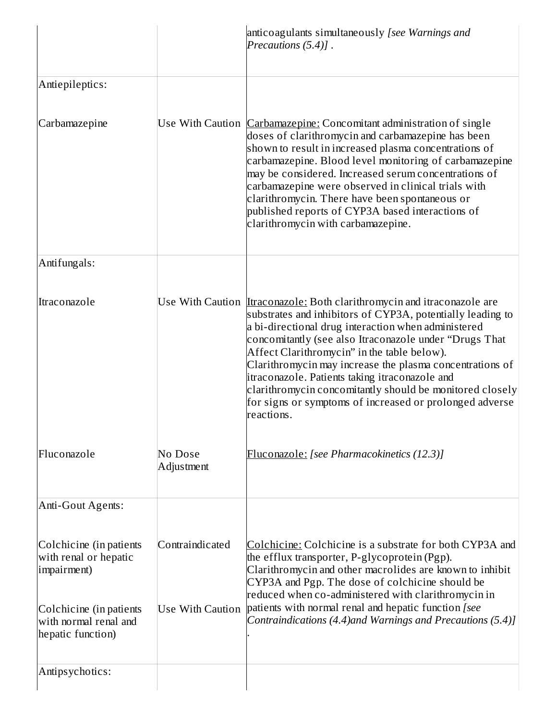|                                                                                                                                          |                                            | anticoagulants simultaneously [see Warnings and<br>Precautions $(5.4)$ ].                                                                                                                                                                                                                                                                                                                                                                                                                                                                                       |
|------------------------------------------------------------------------------------------------------------------------------------------|--------------------------------------------|-----------------------------------------------------------------------------------------------------------------------------------------------------------------------------------------------------------------------------------------------------------------------------------------------------------------------------------------------------------------------------------------------------------------------------------------------------------------------------------------------------------------------------------------------------------------|
| Antiepileptics:                                                                                                                          |                                            |                                                                                                                                                                                                                                                                                                                                                                                                                                                                                                                                                                 |
| Carbamazepine                                                                                                                            |                                            | Use With Caution <i>Carbamazepine:</i> Concomitant administration of single<br>doses of clarithromycin and carbamazepine has been<br>shown to result in increased plasma concentrations of<br>carbamazepine. Blood level monitoring of carbamazepine<br>may be considered. Increased serum concentrations of<br>carbamazepine were observed in clinical trials with<br>clarithromycin. There have been spontaneous or<br>published reports of CYP3A based interactions of<br>clarithromycin with carbamazepine.                                                 |
| Antifungals:                                                                                                                             |                                            |                                                                                                                                                                                                                                                                                                                                                                                                                                                                                                                                                                 |
| Itraconazole                                                                                                                             |                                            | Use With Caution <i>Itraconazole:</i> Both clarithromycin and itraconazole are<br>substrates and inhibitors of CYP3A, potentially leading to<br>a bi-directional drug interaction when administered<br>concomitantly (see also Itraconazole under "Drugs That<br>Affect Clarithromycin" in the table below).<br>Clarithromycin may increase the plasma concentrations of<br>itraconazole. Patients taking itraconazole and<br>clarithromycin concomitantly should be monitored closely<br>for signs or symptoms of increased or prolonged adverse<br>reactions. |
| Fluconazole                                                                                                                              | No Dose<br>Adjustment                      | Fluconazole: [see Pharmacokinetics (12.3)]                                                                                                                                                                                                                                                                                                                                                                                                                                                                                                                      |
| Anti-Gout Agents:                                                                                                                        |                                            |                                                                                                                                                                                                                                                                                                                                                                                                                                                                                                                                                                 |
| Colchicine (in patients<br>with renal or hepatic<br>impairment)<br>Colchicine (in patients<br>with normal renal and<br>hepatic function) | Contraindicated<br><b>Use With Caution</b> | Colchicine: Colchicine is a substrate for both CYP3A and<br>the efflux transporter, P-glycoprotein (Pgp).<br>Clarithromycin and other macrolides are known to inhibit<br>CYP3A and Pgp. The dose of colchicine should be<br>reduced when co-administered with clarithromycin in<br>patients with normal renal and hepatic function [see<br>Contraindications (4.4)and Warnings and Precautions (5.4)]                                                                                                                                                           |
| Antipsychotics:                                                                                                                          |                                            |                                                                                                                                                                                                                                                                                                                                                                                                                                                                                                                                                                 |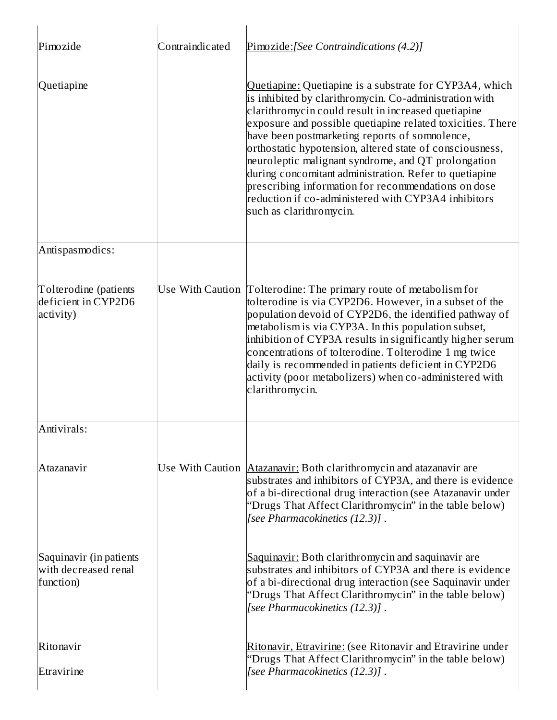| Pimozide                                                     | Contraindicated | Pimozide:[See Contraindications (4.2)]                                                                                                                                                                                                                                                                                                                                                                                                                                                                                                                                                                         |
|--------------------------------------------------------------|-----------------|----------------------------------------------------------------------------------------------------------------------------------------------------------------------------------------------------------------------------------------------------------------------------------------------------------------------------------------------------------------------------------------------------------------------------------------------------------------------------------------------------------------------------------------------------------------------------------------------------------------|
| Quetiapine                                                   |                 | Quetiapine: Quetiapine is a substrate for CYP3A4, which<br>is inhibited by clarithromycin. Co-administration with<br>clarithromycin could result in increased quetiapine<br>exposure and possible quetiapine related toxicities. There<br>have been postmarketing reports of somnolence,<br>orthostatic hypotension, altered state of consciousness,<br>neuroleptic malignant syndrome, and QT prolongation<br>during concomitant administration. Refer to quetiapine<br>prescribing information for recommendations on dose<br>reduction if co-administered with CYP3A4 inhibitors<br>such as clarithromycin. |
| Antispasmodics:                                              |                 |                                                                                                                                                                                                                                                                                                                                                                                                                                                                                                                                                                                                                |
| Tolterodine (patients<br>deficient in CYP2D6<br>activity)    |                 | Use With Caution <i>[Colterodine:</i> The primary route of metabolism for<br>tolterodine is via CYP2D6. However, in a subset of the<br>population devoid of CYP2D6, the identified pathway of<br>metabolism is via CYP3A. In this population subset,<br>inhibition of CYP3A results in significantly higher serum<br>concentrations of tolterodine. Tolterodine 1 mg twice<br>daily is recommended in patients deficient in CYP2D6<br>activity (poor metabolizers) when co-administered with<br>clarithromycin.                                                                                                |
| Antivirals:                                                  |                 |                                                                                                                                                                                                                                                                                                                                                                                                                                                                                                                                                                                                                |
| Atazanavir                                                   |                 | Use With Caution <b>Atazanavir:</b> Both clarithromycin and atazanavir are<br>substrates and inhibitors of CYP3A, and there is evidence<br>of a bi-directional drug interaction (see Atazanavir under<br>"Drugs That Affect Clarithromycin" in the table below)<br>[see Pharmacokinetics (12.3)].                                                                                                                                                                                                                                                                                                              |
| Saquinavir (in patients<br>with decreased renal<br>function) |                 | Saquinavir: Both clarithromycin and saquinavir are<br>substrates and inhibitors of CYP3A and there is evidence<br>of a bi-directional drug interaction (see Saquinavir under<br>"Drugs That Affect Clarithromycin" in the table below)<br>[see Pharmacokinetics (12.3)].                                                                                                                                                                                                                                                                                                                                       |
| Ritonavir                                                    |                 | Ritonavir, Etravirine: (see Ritonavir and Etravirine under<br>"Drugs That Affect Clarithromycin" in the table below)                                                                                                                                                                                                                                                                                                                                                                                                                                                                                           |
| Etravirine                                                   |                 | [see Pharmacokinetics (12.3)].                                                                                                                                                                                                                                                                                                                                                                                                                                                                                                                                                                                 |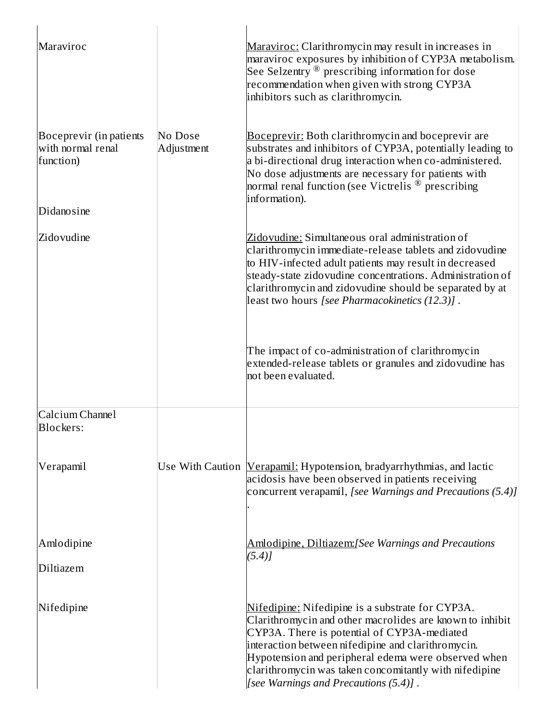| Maraviroc                                                               |                       | Maraviroc: Clarithromycin may result in increases in<br>maraviroc exposures by inhibition of CYP3A metabolism.<br>See Selzentry $^\circledR$ prescribing information for dose<br>recommendation when given with strong CYP3A<br>inhibitors such as clarithromycin.                                                                                                          |
|-------------------------------------------------------------------------|-----------------------|-----------------------------------------------------------------------------------------------------------------------------------------------------------------------------------------------------------------------------------------------------------------------------------------------------------------------------------------------------------------------------|
| Boceprevir (in patients<br>with normal renal<br>function)<br>Didanosine | No Dose<br>Adjustment | <b>Boceprevir:</b> Both clarithromycin and boceprevir are<br>substrates and inhibitors of CYP3A, potentially leading to<br>a bi-directional drug interaction when co-administered.<br>No dose adjustments are necessary for patients with $\overline{\phantom{a}}$<br>normal renal function (see Victrelis $^\circledR$ prescribing<br>information).                        |
| Zidovudine                                                              |                       | <u> Zidovudine:</u> Simultaneous oral administration of<br>clarithromycin immediate-release tablets and zidovudine<br>to HIV-infected adult patients may result in decreased<br>steady-state zidovudine concentrations. Administration of<br>clarithromycin and zidovudine should be separated by at<br>least two hours [see Pharmacokinetics (12.3)] .                     |
|                                                                         |                       | The impact of co-administration of clarithromycin<br>extended-release tablets or granules and zidovudine has<br>not been evaluated.                                                                                                                                                                                                                                         |
| Calcium Channel<br><b>Blockers:</b>                                     |                       |                                                                                                                                                                                                                                                                                                                                                                             |
| Verapamil                                                               |                       | Use With Caution <i>[Verapamil: Hypotension, bradyarrhythmias, and lactic</i><br>acidosis have been observed in patients receiving<br>concurrent verapamil, [see Warnings and Precautions (5.4)]                                                                                                                                                                            |
| Amlodipine                                                              |                       | <u>Amlodipine, Diltiazem:</u> [See Warnings and Precautions<br>$(5.4)$ ]                                                                                                                                                                                                                                                                                                    |
| Diltiazem                                                               |                       |                                                                                                                                                                                                                                                                                                                                                                             |
| Nifedipine                                                              |                       | Nifedipine: Nifedipine is a substrate for CYP3A.<br>Clarithromycin and other macrolides are known to inhibit<br>CYP3A. There is potential of CYP3A-mediated<br>interaction between nifedipine and clarithromycin.<br>Hypotension and peripheral edema were observed when<br>clarithromycin was taken concomitantly with nifedipine<br>[see Warnings and Precautions (5.4)]. |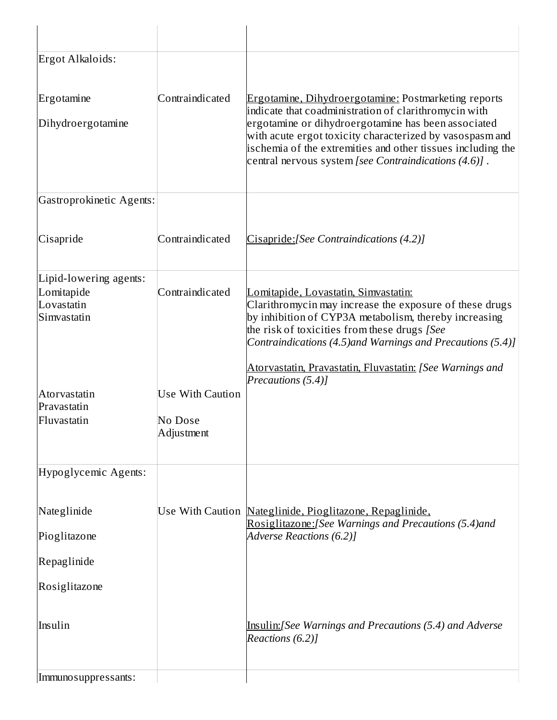| Ergot Alkaloids:                                                  |                                                  |                                                                                                                                                                                                                                                                                                                                                                 |
|-------------------------------------------------------------------|--------------------------------------------------|-----------------------------------------------------------------------------------------------------------------------------------------------------------------------------------------------------------------------------------------------------------------------------------------------------------------------------------------------------------------|
| Ergotamine<br>Dihydroergotamine                                   | Contraindicated                                  | <b>Ergotamine, Dihydroergotamine: Postmarketing reports</b><br>indicate that coadministration of clarithromycin with<br>ergotamine or dihydroergotamine has been associated<br>with acute ergot toxicity characterized by vasospasm and<br>ischemia of the extremities and other tissues including the<br>central nervous system [see Contraindications (4.6)]. |
| Gastroprokinetic Agents:                                          |                                                  |                                                                                                                                                                                                                                                                                                                                                                 |
| Cisapride                                                         | Contraindicated                                  | Cisapride: [See Contraindications (4.2)]                                                                                                                                                                                                                                                                                                                        |
| Lipid-lowering agents:<br>Lomitapide<br>Lovastatin<br>Simvastatin | Contraindicated                                  | <u> Lomitapide, Lovastatin, Simvastatin:</u><br>Clarithromycin may increase the exposure of these drugs<br>by inhibition of CYP3A metabolism, thereby increasing<br>the risk of toxicities from these drugs [See<br>Contraindications (4.5)and Warnings and Precautions (5.4)]                                                                                  |
| Atorvastatin<br>Pravastatin<br>Fluvastatin                        | <b>Use With Caution</b><br>No Dose<br>Adjustment | Atorvastatin, Pravastatin, Fluvastatin: [See Warnings and<br>Precautions (5.4)]                                                                                                                                                                                                                                                                                 |
| Hypoglycemic Agents:                                              |                                                  |                                                                                                                                                                                                                                                                                                                                                                 |
| Nateglinide<br>Pioglitazone                                       |                                                  | Use With Caution Nateglinide, Pioglitazone, Repaglinide,<br>Rosiglitazone: [See Warnings and Precautions (5.4) and<br>Adverse Reactions (6.2)]                                                                                                                                                                                                                  |
| Repaglinide                                                       |                                                  |                                                                                                                                                                                                                                                                                                                                                                 |
| Rosiglitazone                                                     |                                                  |                                                                                                                                                                                                                                                                                                                                                                 |
| Insulin                                                           |                                                  | <u>Insulin:</u> [See Warnings and Precautions (5.4) and Adverse<br>Reactions (6.2)]                                                                                                                                                                                                                                                                             |
| Immuno suppressants:                                              |                                                  |                                                                                                                                                                                                                                                                                                                                                                 |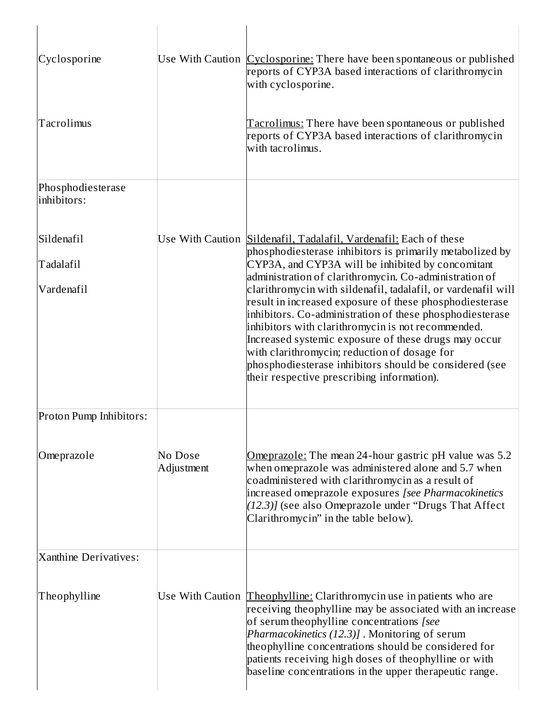| Cyclosporine                          |                       | Use With Caution <i>Cyclosporine:</i> There have been spontaneous or published<br>reports of CYP3A based interactions of clarithromycin<br>with cyclosporine.                                                                                                                                                                                                                                                                                                                                                                                                                                                                                                                                              |
|---------------------------------------|-----------------------|------------------------------------------------------------------------------------------------------------------------------------------------------------------------------------------------------------------------------------------------------------------------------------------------------------------------------------------------------------------------------------------------------------------------------------------------------------------------------------------------------------------------------------------------------------------------------------------------------------------------------------------------------------------------------------------------------------|
| Tacrolimus                            |                       | <u> Tacrolimus:</u> There have been spontaneous or published<br>reports of CYP3A based interactions of clarithromycin<br>with tacrolimus.                                                                                                                                                                                                                                                                                                                                                                                                                                                                                                                                                                  |
| Phosphodiesterase<br>linhibitors:     |                       |                                                                                                                                                                                                                                                                                                                                                                                                                                                                                                                                                                                                                                                                                                            |
| Sildenafil<br>Tadalafil<br>Vardenafil |                       | Use With Caution Sildenafil, Tadalafil, Vardenafil: Each of these<br>phosphodiesterase inhibitors is primarily metabolized by<br>CYP3A, and CYP3A will be inhibited by concomitant<br>administration of clarithromycin. Co-administration of<br>clarithromycin with sildenafil, tadalafil, or vardenafil will<br>result in increased exposure of these phosphodiesterase<br>inhibitors. Co-administration of these phosphodiesterase<br>inhibitors with clarithromycin is not recommended.<br>Increased systemic exposure of these drugs may occur<br>with clarithromycin; reduction of dosage for<br>phosphodiesterase inhibitors should be considered (see<br>their respective prescribing information). |
| Proton Pump Inhibitors:               |                       |                                                                                                                                                                                                                                                                                                                                                                                                                                                                                                                                                                                                                                                                                                            |
| Omeprazole                            | No Dose<br>Adjustment | Omeprazole: The mean 24-hour gastric pH value was 5.2<br>when omeprazole was administered alone and 5.7 when<br>coadministered with clarithromycin as a result of<br>increased omeprazole exposures [see Pharmacokinetics<br>(12.3)] (see also Omeprazole under "Drugs That Affect<br>Clarithromycin" in the table below).                                                                                                                                                                                                                                                                                                                                                                                 |
| <b>Xanthine Derivatives:</b>          |                       |                                                                                                                                                                                                                                                                                                                                                                                                                                                                                                                                                                                                                                                                                                            |
| Theophylline                          |                       | Use With Caution <i>Theophylline:</i> Clarithromycin use in patients who are<br>receiving theophylline may be associated with an increase<br>of serum theophylline concentrations [see<br>Pharmacokinetics (12.3)]. Monitoring of serum<br>theophylline concentrations should be considered for<br>patients receiving high doses of theophylline or with<br>baseline concentrations in the upper therapeutic range.                                                                                                                                                                                                                                                                                        |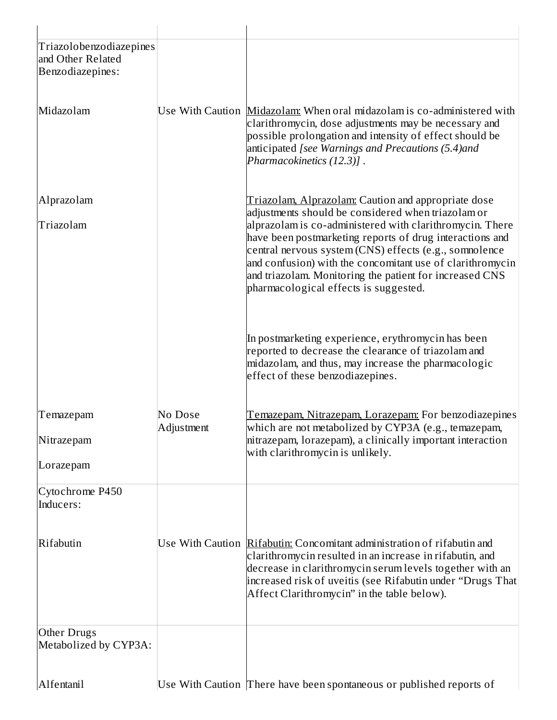| Triazolobenzodiazepines<br>and Other Related<br>Benzodiazepines: |                       |                                                                                                                                                                                                                                                                                                                                                                                                                                                              |
|------------------------------------------------------------------|-----------------------|--------------------------------------------------------------------------------------------------------------------------------------------------------------------------------------------------------------------------------------------------------------------------------------------------------------------------------------------------------------------------------------------------------------------------------------------------------------|
| Midazolam                                                        |                       | Use With Caution Midazolam: When oral midazolam is co-administered with<br>clarithromycin, dose adjustments may be necessary and<br>possible prolongation and intensity of effect should be<br>anticipated [see Warnings and Precautions (5.4)and<br>Pharmacokinetics (12.3)].                                                                                                                                                                               |
| Alprazolam<br>Triazolam                                          |                       | Triazolam, Alprazolam: Caution and appropriate dose<br>adjustments should be considered when triazolam or<br>alprazolam is co-administered with clarithromycin. There<br>have been postmarketing reports of drug interactions and<br>central nervous system (CNS) effects (e.g., somnolence<br>and confusion) with the concomitant use of clarithromycin<br>and triazolam. Monitoring the patient for increased CNS<br>pharmacological effects is suggested. |
|                                                                  |                       | In postmarketing experience, erythromycin has been<br>reported to decrease the clearance of triazolam and<br>midazolam, and thus, may increase the pharmacologic<br>effect of these benzodiazepines.                                                                                                                                                                                                                                                         |
| Temazepam<br>Nitrazepam<br>Lorazepam                             | No Dose<br>Adjustment | <u>Temazepam, Nitrazepam, Lorazepam:</u> For benzodiazepines<br>which are not metabolized by CYP3A (e.g., temazepam,<br>nitrazepam, lorazepam), a clinically important interaction<br>with clarithromycin is unlikely.                                                                                                                                                                                                                                       |
| Cytochrome P450<br>Inducers:                                     |                       |                                                                                                                                                                                                                                                                                                                                                                                                                                                              |
| Rifabutin                                                        |                       | Use With Caution Rifabutin: Concomitant administration of rifabutin and<br>clarithromycin resulted in an increase in rifabutin, and<br>decrease in clarithromycin serum levels together with an<br>increased risk of uveitis (see Rifabutin under "Drugs That <br>Affect Clarithromycin" in the table below).                                                                                                                                                |
| <b>Other Drugs</b><br>Metabolized by CYP3A:                      |                       |                                                                                                                                                                                                                                                                                                                                                                                                                                                              |
| Alfentanil                                                       |                       | Use With Caution There have been spontaneous or published reports of                                                                                                                                                                                                                                                                                                                                                                                         |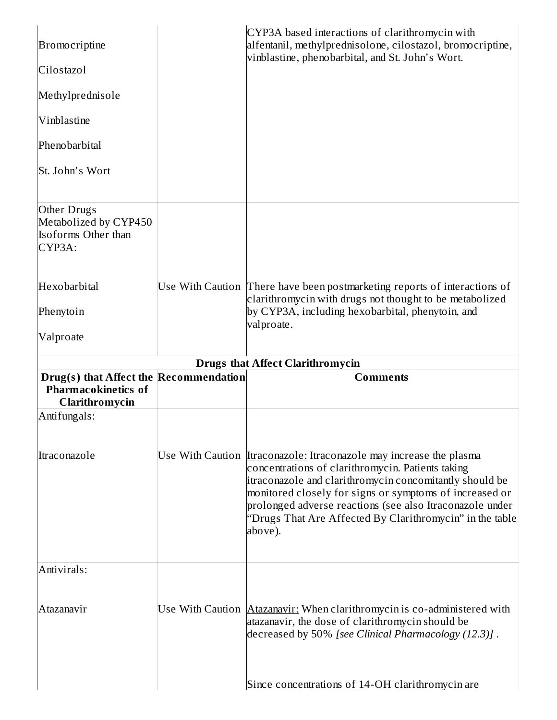| Bromocriptine                                                                                          | CYP3A based interactions of clarithromycin with<br>alfentanil, methylprednisolone, cilostazol, bromocriptine,<br>vinblastine, phenobarbital, and St. John's Wort.                                                                                                                                                                                                                        |
|--------------------------------------------------------------------------------------------------------|------------------------------------------------------------------------------------------------------------------------------------------------------------------------------------------------------------------------------------------------------------------------------------------------------------------------------------------------------------------------------------------|
| Cilostazol                                                                                             |                                                                                                                                                                                                                                                                                                                                                                                          |
| Methylprednisole                                                                                       |                                                                                                                                                                                                                                                                                                                                                                                          |
| Vinblastine                                                                                            |                                                                                                                                                                                                                                                                                                                                                                                          |
| Phenobarbital                                                                                          |                                                                                                                                                                                                                                                                                                                                                                                          |
| St. John's Wort                                                                                        |                                                                                                                                                                                                                                                                                                                                                                                          |
| Other Drugs<br>Metabolized by CYP450<br>Isoforms Other than<br>CYP3A:                                  |                                                                                                                                                                                                                                                                                                                                                                                          |
| Hexobarbital                                                                                           | Use With Caution There have been postmarketing reports of interactions of<br>clarithromycin with drugs not thought to be metabolized                                                                                                                                                                                                                                                     |
| Phenytoin                                                                                              | by CYP3A, including hexobarbital, phenytoin, and<br>valproate.                                                                                                                                                                                                                                                                                                                           |
| Valproate                                                                                              |                                                                                                                                                                                                                                                                                                                                                                                          |
|                                                                                                        | <b>Drugs that Affect Clarithromycin</b>                                                                                                                                                                                                                                                                                                                                                  |
| Drug(s) that Affect the Recommendation<br><b>Pharmacokinetics of</b><br>Clarithromycin<br>Antifungals: | <b>Comments</b>                                                                                                                                                                                                                                                                                                                                                                          |
| Itraconazole                                                                                           | Use With Caution <i>Itraconazole:</i> Itraconazole may increase the plasma<br>concentrations of clarithromycin. Patients taking<br>itraconazole and clarithromycin concomitantly should be<br>monitored closely for signs or symptoms of increased or<br>prolonged adverse reactions (see also Itraconazole under<br>"Drugs That Are Affected By Clarithromycin" in the table<br>above). |
| Antivirals:                                                                                            |                                                                                                                                                                                                                                                                                                                                                                                          |
| Atazanavir                                                                                             | Use With Caution <b>Atazanavir:</b> When clarithromycin is co-administered with<br>atazanavir, the dose of clarithromycin should be<br>decreased by 50% [see Clinical Pharmacology (12.3)].                                                                                                                                                                                              |
|                                                                                                        | Since concentrations of 14-OH clarithromycin are                                                                                                                                                                                                                                                                                                                                         |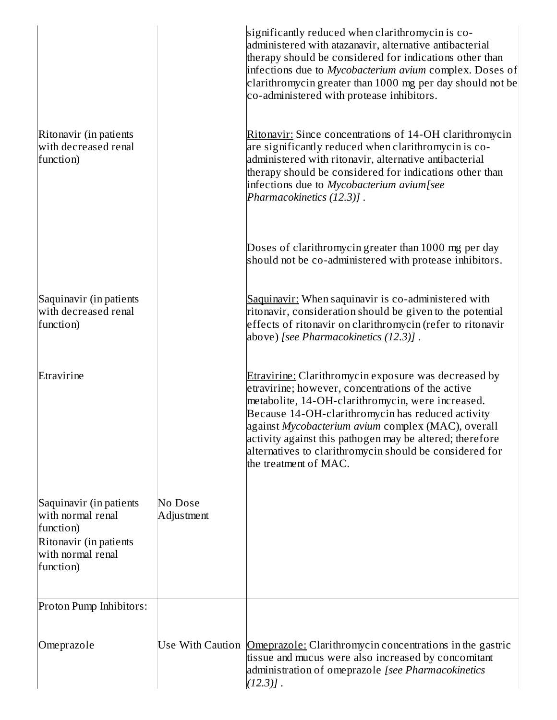|                                                                                                                       |                       | significantly reduced when clarithromycin is co-<br>administered with atazanavir, alternative antibacterial<br>therapy should be considered for indications other than<br>infections due to Mycobacterium avium complex. Doses of<br>clarithromycin greater than 1000 mg per day should not be<br>co-administered with protease inhibitors.                                                                               |
|-----------------------------------------------------------------------------------------------------------------------|-----------------------|---------------------------------------------------------------------------------------------------------------------------------------------------------------------------------------------------------------------------------------------------------------------------------------------------------------------------------------------------------------------------------------------------------------------------|
| Ritonavir (in patients<br>with decreased renal<br>function)                                                           |                       | Ritonavir: Since concentrations of 14-OH clarithromycin<br>are significantly reduced when clarithromycin is co-<br>administered with ritonavir, alternative antibacterial<br>therapy should be considered for indications other than<br>infections due to Mycobacterium avium[see<br>Pharmacokinetics (12.3)].                                                                                                            |
|                                                                                                                       |                       | Doses of clarithromycin greater than 1000 mg per day<br>should not be co-administered with protease inhibitors.                                                                                                                                                                                                                                                                                                           |
| Saquinavir (in patients<br>with decreased renal<br>function)                                                          |                       | Saquinavir: When saquinavir is co-administered with<br>ritonavir, consideration should be given to the potential<br>effects of ritonavir on clarithromycin (refer to ritonavir<br>above) [see Pharmacokinetics (12.3)].                                                                                                                                                                                                   |
| Etravirine                                                                                                            |                       | Etravirine: Clarithromycin exposure was decreased by<br>etravirine; however, concentrations of the active<br>metabolite, 14-OH-clarithromycin, were increased.<br>Because 14-OH-clarithromycin has reduced activity<br>against Mycobacterium avium complex (MAC), overall<br>activity against this pathogen may be altered; therefore<br>alternatives to clarithromycin should be considered for<br>the treatment of MAC. |
| Saquinavir (in patients<br>with normal renal<br>function)<br>Ritonavir (in patients<br>with normal renal<br>function) | No Dose<br>Adjustment |                                                                                                                                                                                                                                                                                                                                                                                                                           |
| Proton Pump Inhibitors:                                                                                               |                       |                                                                                                                                                                                                                                                                                                                                                                                                                           |
| Omeprazole                                                                                                            |                       | Use With Caution <b>Omeprazole:</b> Clarithromycin concentrations in the gastric<br>tissue and mucus were also increased by concomitant<br>administration of omeprazole [see Pharmacokinetics<br>$(12.3)$ ].                                                                                                                                                                                                              |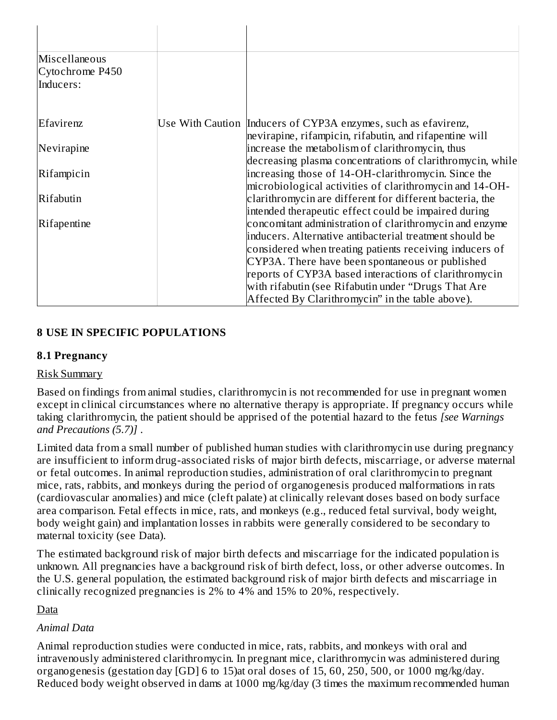| Miscellaneous<br>Cytochrome P450<br>Inducers: |                                                                                                                                                                                                                                                                                                                                                                                                                                                              |
|-----------------------------------------------|--------------------------------------------------------------------------------------------------------------------------------------------------------------------------------------------------------------------------------------------------------------------------------------------------------------------------------------------------------------------------------------------------------------------------------------------------------------|
| Efavirenz                                     | Use With Caution Inducers of CYP3A enzymes, such as efavirenz,                                                                                                                                                                                                                                                                                                                                                                                               |
| Nevirapine                                    | nevirapine, rifampicin, rifabutin, and rifapentine will<br>increase the metabolism of clarithromycin, thus                                                                                                                                                                                                                                                                                                                                                   |
| Rifampicin                                    | decreasing plasma concentrations of clarithromycin, while<br>increasing those of 14-OH-clarithromycin. Since the                                                                                                                                                                                                                                                                                                                                             |
| Rifabutin                                     | microbiological activities of clarithromycin and 14-OH-<br>clarithromycin are different for different bacteria, the                                                                                                                                                                                                                                                                                                                                          |
| Rifapentine                                   | intended therapeutic effect could be impaired during<br>concomitant administration of clarithromycin and enzyme<br>inducers. Alternative antibacterial treatment should be<br>considered when treating patients receiving inducers of<br>CYP3A. There have been spontaneous or published<br>reports of CYP3A based interactions of clarithromycin<br>with rifabutin (see Rifabutin under "Drugs That Are<br>Affected By Clarithromycin" in the table above). |

# **8 USE IN SPECIFIC POPULATIONS**

#### **8.1 Pregnancy**

#### Risk Summary

Based on findings from animal studies, clarithromycin is not recommended for use in pregnant women except in clinical circumstances where no alternative therapy is appropriate. If pregnancy occurs while taking clarithromycin, the patient should be apprised of the potential hazard to the fetus *[see Warnings and Precautions (5.7)]* .

Limited data from a small number of published human studies with clarithromycin use during pregnancy are insufficient to inform drug-associated risks of major birth defects, miscarriage, or adverse maternal or fetal outcomes. In animal reproduction studies, administration of oral clarithromycin to pregnant mice, rats, rabbits, and monkeys during the period of organogenesis produced malformations in rats (cardiovascular anomalies) and mice (cleft palate) at clinically relevant doses based on body surface area comparison. Fetal effects in mice, rats, and monkeys (e.g., reduced fetal survival, body weight, body weight gain) and implantation losses in rabbits were generally considered to be secondary to maternal toxicity (see Data).

The estimated background risk of major birth defects and miscarriage for the indicated population is unknown. All pregnancies have a background risk of birth defect, loss, or other adverse outcomes. In the U.S. general population, the estimated background risk of major birth defects and miscarriage in clinically recognized pregnancies is 2% to 4% and 15% to 20%, respectively.

# Data

# *Animal Data*

Animal reproduction studies were conducted in mice, rats, rabbits, and monkeys with oral and intravenously administered clarithromycin. In pregnant mice, clarithromycin was administered during organogenesis (gestation day [GD] 6 to 15)at oral doses of 15, 60, 250, 500, or 1000 mg/kg/day. Reduced body weight observed in dams at 1000 mg/kg/day (3 times the maximum recommended human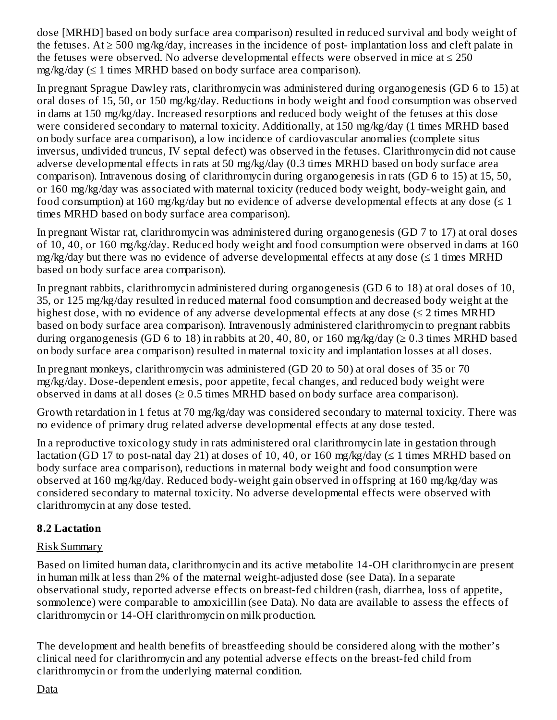dose [MRHD] based on body surface area comparison) resulted in reduced survival and body weight of the fetuses. At  $\geq$  500 mg/kg/day, increases in the incidence of post-implantation loss and cleft palate in the fetuses were observed. No adverse developmental effects were observed in mice at  $\leq 250$ mg/kg/day (≤ 1 times MRHD based on body surface area comparison).

In pregnant Sprague Dawley rats, clarithromycin was administered during organogenesis (GD 6 to 15) at oral doses of 15, 50, or 150 mg/kg/day. Reductions in body weight and food consumption was observed in dams at 150 mg/kg/day. Increased resorptions and reduced body weight of the fetuses at this dose were considered secondary to maternal toxicity. Additionally, at 150 mg/kg/day (1 times MRHD based on body surface area comparison), a low incidence of cardiovascular anomalies (complete situs inversus, undivided truncus, IV septal defect) was observed in the fetuses. Clarithromycin did not cause adverse developmental effects in rats at 50 mg/kg/day (0.3 times MRHD based on body surface area comparison). Intravenous dosing of clarithromycin during organogenesis in rats (GD 6 to 15) at 15, 50, or 160 mg/kg/day was associated with maternal toxicity (reduced body weight, body-weight gain, and food consumption) at 160 mg/kg/day but no evidence of adverse developmental effects at any dose  $(\leq 1)$ times MRHD based on body surface area comparison).

In pregnant Wistar rat, clarithromycin was administered during organogenesis (GD 7 to 17) at oral doses of 10, 40, or 160 mg/kg/day. Reduced body weight and food consumption were observed in dams at 160 mg/kg/day but there was no evidence of adverse developmental effects at any dose  $(\leq 1)$  times MRHD based on body surface area comparison).

In pregnant rabbits, clarithromycin administered during organogenesis (GD 6 to 18) at oral doses of 10, 35, or 125 mg/kg/day resulted in reduced maternal food consumption and decreased body weight at the highest dose, with no evidence of any adverse developmental effects at any dose ( $\leq 2$  times MRHD based on body surface area comparison). Intravenously administered clarithromycin to pregnant rabbits during organogenesis (GD 6 to 18) in rabbits at 20, 40, 80, or 160 mg/kg/day ( $\geq 0.3$  times MRHD based on body surface area comparison) resulted in maternal toxicity and implantation losses at all doses.

In pregnant monkeys, clarithromycin was administered (GD 20 to 50) at oral doses of 35 or 70 mg/kg/day. Dose-dependent emesis, poor appetite, fecal changes, and reduced body weight were observed in dams at all doses  $(\geq 0.5$  times MRHD based on body surface area comparison).

Growth retardation in 1 fetus at 70 mg/kg/day was considered secondary to maternal toxicity. There was no evidence of primary drug related adverse developmental effects at any dose tested.

In a reproductive toxicology study in rats administered oral clarithromycin late in gestation through lactation (GD 17 to post-natal day 21) at doses of 10, 40, or 160 mg/kg/day ( $\leq$  1 times MRHD based on body surface area comparison), reductions in maternal body weight and food consumption were observed at 160 mg/kg/day. Reduced body-weight gain observed in offspring at 160 mg/kg/day was considered secondary to maternal toxicity. No adverse developmental effects were observed with clarithromycin at any dose tested.

# **8.2 Lactation**

# Risk Summary

Based on limited human data, clarithromycin and its active metabolite 14-OH clarithromycin are present in human milk at less than 2% of the maternal weight-adjusted dose (see Data). In a separate observational study, reported adverse effects on breast-fed children (rash, diarrhea, loss of appetite, somnolence) were comparable to amoxicillin (see Data). No data are available to assess the effects of clarithromycin or 14-OH clarithromycin on milk production.

The development and health benefits of breastfeeding should be considered along with the mother's clinical need for clarithromycin and any potential adverse effects on the breast-fed child from clarithromycin or from the underlying maternal condition.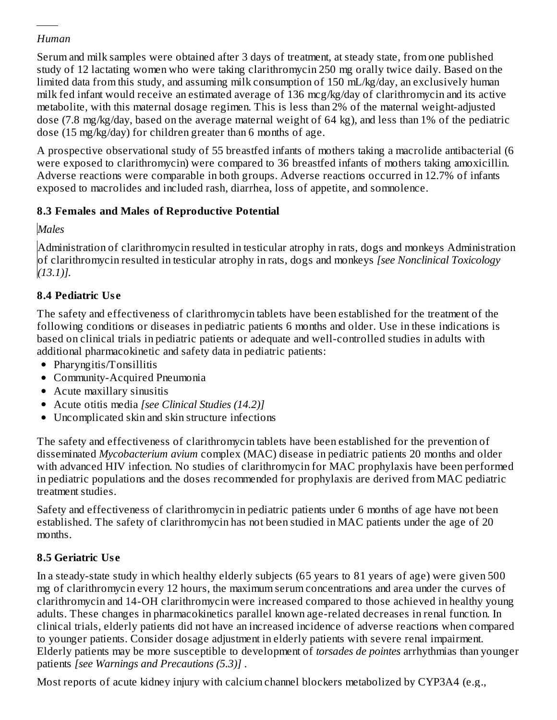# *Human*

<u>datan ing</u>

Serum and milk samples were obtained after 3 days of treatment, at steady state, from one published study of 12 lactating women who were taking clarithromycin 250 mg orally twice daily. Based on the limited data from this study, and assuming milk consumption of 150 mL/kg/day, an exclusively human milk fed infant would receive an estimated average of 136 mcg/kg/day of clarithromycin and its active metabolite, with this maternal dosage regimen. This is less than 2% of the maternal weight-adjusted dose (7.8 mg/kg/day, based on the average maternal weight of 64 kg), and less than 1% of the pediatric dose (15 mg/kg/day) for children greater than 6 months of age.

A prospective observational study of 55 breastfed infants of mothers taking a macrolide antibacterial (6 were exposed to clarithromycin) were compared to 36 breastfed infants of mothers taking amoxicillin. Adverse reactions were comparable in both groups. Adverse reactions occurred in 12.7% of infants exposed to macrolides and included rash, diarrhea, loss of appetite, and somnolence.

# **8.3 Females and Males of Reproductive Potential**

*Males*

Administration of clarithromycin resulted in testicular atrophy in rats, dogs and monkeys Administration of clarithromycin resulted in testicular atrophy in rats, dogs and monkeys *[see Nonclinical Toxicology (13.1)].*

# **8.4 Pediatric Us e**

The safety and effectiveness of clarithromycin tablets have been established for the treatment of the following conditions or diseases in pediatric patients 6 months and older. Use in these indications is based on clinical trials in pediatric patients or adequate and well-controlled studies in adults with additional pharmacokinetic and safety data in pediatric patients:

- Pharyngitis/Tonsillitis
- Community-Acquired Pneumonia
- Acute maxillary sinusitis
- Acute otitis media *[see Clinical Studies (14.2)]*
- Uncomplicated skin and skin structure infections

The safety and effectiveness of clarithromycin tablets have been established for the prevention of disseminated *Mycobacterium avium* complex (MAC) disease in pediatric patients 20 months and older with advanced HIV infection. No studies of clarithromycin for MAC prophylaxis have been performed in pediatric populations and the doses recommended for prophylaxis are derived from MAC pediatric treatment studies.

Safety and effectiveness of clarithromycin in pediatric patients under 6 months of age have not been established. The safety of clarithromycin has not been studied in MAC patients under the age of 20 months.

# **8.5 Geriatric Us e**

In a steady-state study in which healthy elderly subjects (65 years to 81 years of age) were given 500 mg of clarithromycin every 12 hours, the maximum serum concentrations and area under the curves of clarithromycin and 14-OH clarithromycin were increased compared to those achieved in healthy young adults. These changes in pharmacokinetics parallel known age-related decreases in renal function. In clinical trials, elderly patients did not have an increased incidence of adverse reactions when compared to younger patients. Consider dosage adjustment in elderly patients with severe renal impairment. Elderly patients may be more susceptible to development of *torsades de pointes* arrhythmias than younger patients *[see Warnings and Precautions (5.3)]* .

Most reports of acute kidney injury with calcium channel blockers metabolized by CYP3A4 (e.g.,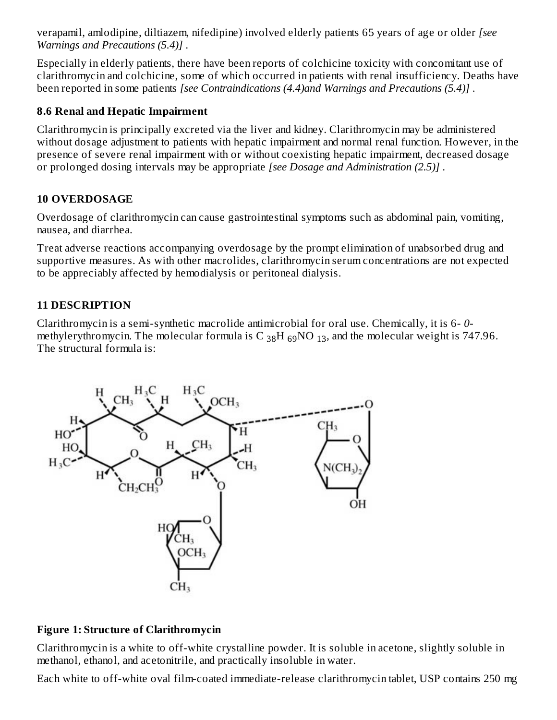verapamil, amlodipine, diltiazem, nifedipine) involved elderly patients 65 years of age or older *[see Warnings and Precautions (5.4)]* .

Especially in elderly patients, there have been reports of colchicine toxicity with concomitant use of clarithromycin and colchicine, some of which occurred in patients with renal insufficiency. Deaths have been reported in some patients *[see Contraindications (4.4)and Warnings and Precautions (5.4)]* .

#### **8.6 Renal and Hepatic Impairment**

Clarithromycin is principally excreted via the liver and kidney. Clarithromycin may be administered without dosage adjustment to patients with hepatic impairment and normal renal function. However, in the presence of severe renal impairment with or without coexisting hepatic impairment, decreased dosage or prolonged dosing intervals may be appropriate *[see Dosage and Administration (2.5)]* .

# **10 OVERDOSAGE**

Overdosage of clarithromycin can cause gastrointestinal symptoms such as abdominal pain, vomiting, nausea, and diarrhea.

Treat adverse reactions accompanying overdosage by the prompt elimination of unabsorbed drug and supportive measures. As with other macrolides, clarithromycin serum concentrations are not expected to be appreciably affected by hemodialysis or peritoneal dialysis.

# **11 DESCRIPTION**

Clarithromycin is a semi-synthetic macrolide antimicrobial for oral use. Chemically, it is 6- *0* methylerythromycin. The molecular formula is C  $_{38}$ H  $_{69}$ NO  $_{13}$ , and the molecular weight is 747.96. The structural formula is:



# **Figure 1: Structure of Clarithromycin**

Clarithromycin is a white to off-white crystalline powder. It is soluble in acetone, slightly soluble in methanol, ethanol, and acetonitrile, and practically insoluble in water.

Each white to off-white oval film-coated immediate-release clarithromycin tablet, USP contains 250 mg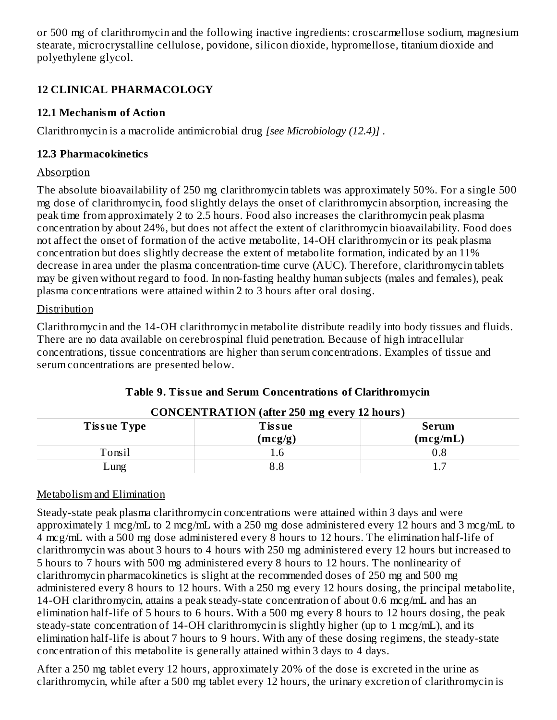or 500 mg of clarithromycin and the following inactive ingredients: croscarmellose sodium, magnesium stearate, microcrystalline cellulose, povidone, silicon dioxide, hypromellose, titanium dioxide and polyethylene glycol.

# **12 CLINICAL PHARMACOLOGY**

# **12.1 Mechanism of Action**

Clarithromycin is a macrolide antimicrobial drug *[see Microbiology (12.4)]* .

# **12.3 Pharmacokinetics**

# Absorption

The absolute bioavailability of 250 mg clarithromycin tablets was approximately 50%. For a single 500 mg dose of clarithromycin, food slightly delays the onset of clarithromycin absorption, increasing the peak time from approximately 2 to 2.5 hours. Food also increases the clarithromycin peak plasma concentration by about 24%, but does not affect the extent of clarithromycin bioavailability. Food does not affect the onset of formation of the active metabolite, 14-OH clarithromycin or its peak plasma concentration but does slightly decrease the extent of metabolite formation, indicated by an 11% decrease in area under the plasma concentration-time curve (AUC). Therefore, clarithromycin tablets may be given without regard to food. In non-fasting healthy human subjects (males and females), peak plasma concentrations were attained within 2 to 3 hours after oral dosing.

# Distribution

Clarithromycin and the 14-OH clarithromycin metabolite distribute readily into body tissues and fluids. There are no data available on cerebrospinal fluid penetration. Because of high intracellular concentrations, tissue concentrations are higher than serum concentrations. Examples of tissue and serum concentrations are presented below.

| <b>CONCENTRATION</b> (after 250 mg every 12 hours)                  |          |     |  |  |  |
|---------------------------------------------------------------------|----------|-----|--|--|--|
| <b>Tissue Type</b><br><b>Tissue</b><br>Serum<br>(mcg/mL)<br>(mcg/g) |          |     |  |  |  |
| Tonsil                                                              | 1.6      | ს.8 |  |  |  |
| $\lrcorner$ ung                                                     | $^{8.8}$ |     |  |  |  |

# **Table 9. Tissue and Serum Concentrations of Clarithromycin**

# Metabolism and Elimination

Steady-state peak plasma clarithromycin concentrations were attained within 3 days and were approximately 1 mcg/mL to 2 mcg/mL with a 250 mg dose administered every 12 hours and 3 mcg/mL to 4 mcg/mL with a 500 mg dose administered every 8 hours to 12 hours. The elimination half-life of clarithromycin was about 3 hours to 4 hours with 250 mg administered every 12 hours but increased to 5 hours to 7 hours with 500 mg administered every 8 hours to 12 hours. The nonlinearity of clarithromycin pharmacokinetics is slight at the recommended doses of 250 mg and 500 mg administered every 8 hours to 12 hours. With a 250 mg every 12 hours dosing, the principal metabolite, 14-OH clarithromycin, attains a peak steady-state concentration of about 0.6 mcg/mL and has an elimination half-life of 5 hours to 6 hours. With a 500 mg every 8 hours to 12 hours dosing, the peak steady-state concentration of 14-OH clarithromycin is slightly higher (up to 1 mcg/mL), and its elimination half-life is about 7 hours to 9 hours. With any of these dosing regimens, the steady-state concentration of this metabolite is generally attained within 3 days to 4 days.

After a 250 mg tablet every 12 hours, approximately 20% of the dose is excreted in the urine as clarithromycin, while after a 500 mg tablet every 12 hours, the urinary excretion of clarithromycin is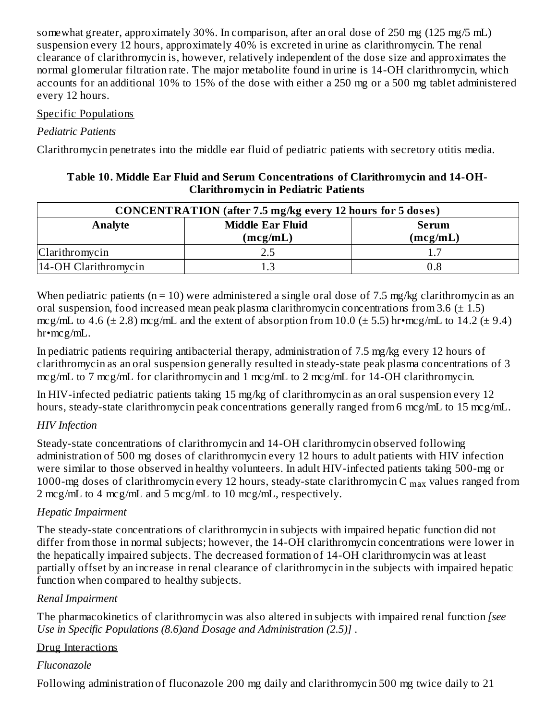somewhat greater, approximately 30%. In comparison, after an oral dose of 250 mg (125 mg/5 mL) suspension every 12 hours, approximately 40% is excreted in urine as clarithromycin. The renal clearance of clarithromycin is, however, relatively independent of the dose size and approximates the normal glomerular filtration rate. The major metabolite found in urine is 14-OH clarithromycin, which accounts for an additional 10% to 15% of the dose with either a 250 mg or a 500 mg tablet administered every 12 hours.

#### Specific Populations

## *Pediatric Patients*

Clarithromycin penetrates into the middle ear fluid of pediatric patients with secretory otitis media.

| <b>CONCENTRATION</b> (after 7.5 mg/kg every 12 hours for 5 doses) |                                                                 |         |  |  |  |
|-------------------------------------------------------------------|-----------------------------------------------------------------|---------|--|--|--|
| Analyte                                                           | <b>Middle Ear Fluid</b><br><b>Serum</b><br>(mcg/mL)<br>(mcg/mL) |         |  |  |  |
| Clarithromycin                                                    |                                                                 |         |  |  |  |
| 14-OH Clarithromycin                                              |                                                                 | $0.8\,$ |  |  |  |

When pediatric patients ( $n = 10$ ) were administered a single oral dose of 7.5 mg/kg clarithromycin as an oral suspension, food increased mean peak plasma clarithromycin concentrations from 3.6  $(\pm 1.5)$ mcg/mL to 4.6 ( $\pm$  2.8) mcg/mL and the extent of absorption from 10.0 ( $\pm$  5.5) hr•mcg/mL to 14.2 ( $\pm$  9.4) hr•mcg/mL.

In pediatric patients requiring antibacterial therapy, administration of 7.5 mg/kg every 12 hours of clarithromycin as an oral suspension generally resulted in steady-state peak plasma concentrations of 3 mcg/mL to 7 mcg/mL for clarithromycin and 1 mcg/mL to 2 mcg/mL for 14-OH clarithromycin.

In HIV-infected pediatric patients taking 15 mg/kg of clarithromycin as an oral suspension every 12 hours, steady-state clarithromycin peak concentrations generally ranged from 6 mcg/mL to 15 mcg/mL.

# *HIV Infection*

Steady-state concentrations of clarithromycin and 14-OH clarithromycin observed following administration of 500 mg doses of clarithromycin every 12 hours to adult patients with HIV infection were similar to those observed in healthy volunteers. In adult HIV-infected patients taking 500-mg or 1000-mg doses of clarithromycin every 12 hours, steady-state clarithromycin C  $_{\rm max}$  values ranged from 2 mcg/mL to 4 mcg/mL and 5 mcg/mL to 10 mcg/mL, respectively.

# *Hepatic Impairment*

The steady-state concentrations of clarithromycin in subjects with impaired hepatic function did not differ from those in normal subjects; however, the 14-OH clarithromycin concentrations were lower in the hepatically impaired subjects. The decreased formation of 14-OH clarithromycin was at least partially offset by an increase in renal clearance of clarithromycin in the subjects with impaired hepatic function when compared to healthy subjects.

# *Renal Impairment*

The pharmacokinetics of clarithromycin was also altered in subjects with impaired renal function *[see Use in Specific Populations (8.6)and Dosage and Administration (2.5)]* .

# Drug Interactions

# *Fluconazole*

Following administration of fluconazole 200 mg daily and clarithromycin 500 mg twice daily to 21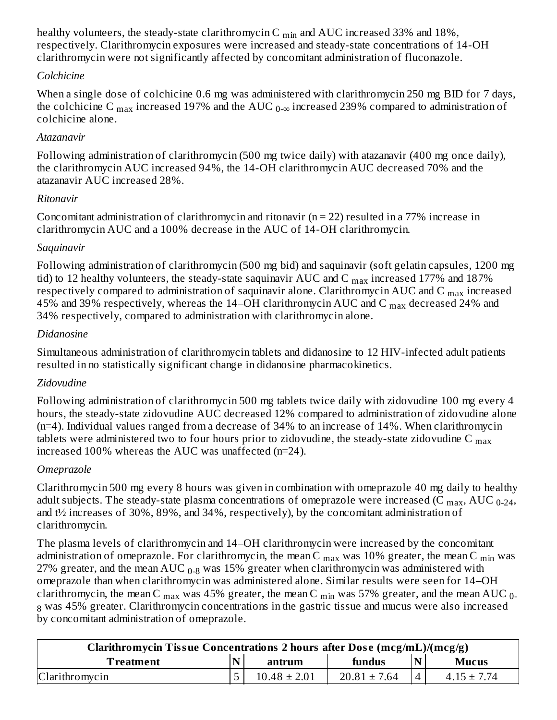healthy volunteers, the steady-state clarithromycin C  $_{\rm min}$  and AUC increased 33% and 18%, respectively. Clarithromycin exposures were increased and steady-state concentrations of 14-OH clarithromycin were not significantly affected by concomitant administration of fluconazole.

# *Colchicine*

When a single dose of colchicine 0.6 mg was administered with clarithromycin 250 mg BID for 7 days, the colchicine C  $_{\rm max}$  increased 197% and the AUC  $_{0\text{-}\infty}$  increased 239% compared to administration of colchicine alone.

# *Atazanavir*

Following administration of clarithromycin (500 mg twice daily) with atazanavir (400 mg once daily), the clarithromycin AUC increased 94%, the 14-OH clarithromycin AUC decreased 70% and the atazanavir AUC increased 28%.

# *Ritonavir*

Concomitant administration of clarithromycin and ritonavir ( $n = 22$ ) resulted in a 77% increase in clarithromycin AUC and a 100% decrease in the AUC of 14-OH clarithromycin.

# *Saquinavir*

Following administration of clarithromycin (500 mg bid) and saquinavir (soft gelatin capsules, 1200 mg tid) to 12 healthy volunteers, the steady-state saquinavir AUC and C  $_{\rm max}$  increased 177% and 187% respectively compared to administration of saquinavir alone. Clarithromycin AUC and C  $_{\rm max}$  increased 45% and 39% respectively, whereas the 14–OH clarithromycin AUC and C  $_{\rm max}$  decreased 24% and 34% respectively, compared to administration with clarithromycin alone.

# *Didanosine*

Simultaneous administration of clarithromycin tablets and didanosine to 12 HIV-infected adult patients resulted in no statistically significant change in didanosine pharmacokinetics.

# *Zidovudine*

Following administration of clarithromycin 500 mg tablets twice daily with zidovudine 100 mg every 4 hours, the steady-state zidovudine AUC decreased 12% compared to administration of zidovudine alone (n=4). Individual values ranged from a decrease of 34% to an increase of 14%. When clarithromycin tablets were administered two to four hours prior to zidovudine, the steady-state zidovudine C  $_{\rm max}$ increased 100% whereas the AUC was unaffected (n=24).

# *Omeprazole*

Clarithromycin 500 mg every 8 hours was given in combination with omeprazole 40 mg daily to healthy adult subjects. The steady-state plasma concentrations of omeprazole were increased (C  $_{\rm max}$ , AUC  $_{\rm 0-24}$ , and t½ increases of 30%, 89%, and 34%, respectively), by the concomitant administration of clarithromycin.

The plasma levels of clarithromycin and 14–OH clarithromycin were increased by the concomitant administration of omeprazole. For clarithromycin, the mean C  $_{\rm max}$  was 10% greater, the mean C  $_{\rm min}$  was 27% greater, and the mean AUC  $_{0\text{-}8}$  was 15% greater when clarithromycin was administered with omeprazole than when clarithromycin was administered alone. Similar results were seen for 14–OH clarithromycin, the mean C  $_{\rm max}$  was 45% greater, the mean C  $_{\rm min}$  was 57% greater, and the mean AUC  $_{\rm 0-}$  $_8$  was 45% greater. Clarithromycin concentrations in the gastric tissue and mucus were also increased by concomitant administration of omeprazole.

| Clarithromycin Tissue Concentrations 2 hours after Dose (mcg/mL)/(mcg/g) |  |                  |                  |  |                 |  |
|--------------------------------------------------------------------------|--|------------------|------------------|--|-----------------|--|
| $\mathbf N$<br>fundus<br>Treatment<br><b>Mucus</b><br>antrum             |  |                  |                  |  |                 |  |
| Clarithromycin                                                           |  | $10.48 \pm 2.01$ | $20.81 \pm 7.64$ |  | $4.15 \pm 7.74$ |  |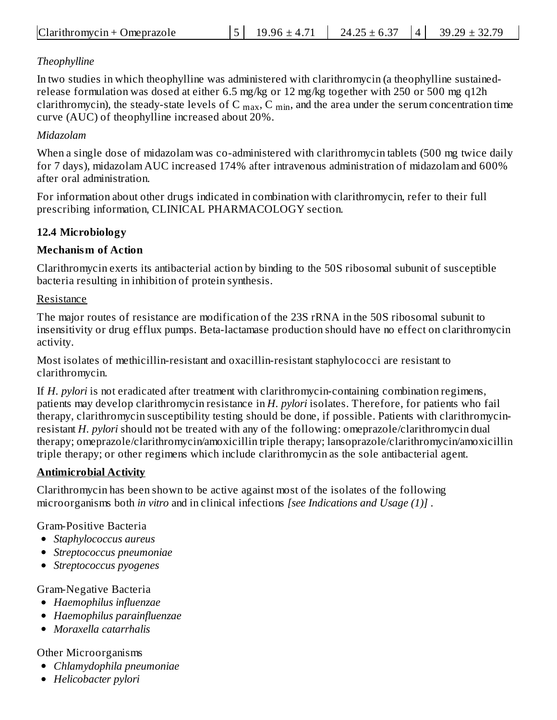# *Theophylline*

In two studies in which theophylline was administered with clarithromycin (a theophylline sustainedrelease formulation was dosed at either 6.5 mg/kg or 12 mg/kg together with 250 or 500 mg q12h clarithromycin), the steady-state levels of C  $_{\rm max}$ , C  $_{\rm min}$ , and the area under the serum concentration time curve (AUC) of theophylline increased about 20%.

# *Midazolam*

When a single dose of midazolam was co-administered with clarithromycin tablets (500 mg twice daily for 7 days), midazolam AUC increased 174% after intravenous administration of midazolam and 600% after oral administration.

For information about other drugs indicated in combination with clarithromycin, refer to their full prescribing information, CLINICAL PHARMACOLOGY section.

# **12.4 Microbiology**

# **Mechanism of Action**

Clarithromycin exerts its antibacterial action by binding to the 50S ribosomal subunit of susceptible bacteria resulting in inhibition of protein synthesis.

# Resistance

The major routes of resistance are modification of the 23S rRNA in the 50S ribosomal subunit to insensitivity or drug efflux pumps. Beta-lactamase production should have no effect on clarithromycin activity.

Most isolates of methicillin-resistant and oxacillin-resistant staphylococci are resistant to clarithromycin.

If *H. pylori* is not eradicated after treatment with clarithromycin-containing combination regimens, patients may develop clarithromycin resistance in *H. pylori* isolates. Therefore, for patients who fail therapy, clarithromycin susceptibility testing should be done, if possible. Patients with clarithromycinresistant *H. pylori* should not be treated with any of the following: omeprazole/clarithromycin dual therapy; omeprazole/clarithromycin/amoxicillin triple therapy; lansoprazole/clarithromycin/amoxicillin triple therapy; or other regimens which include clarithromycin as the sole antibacterial agent.

# **Antimicrobial Activity**

Clarithromycin has been shown to be active against most of the isolates of the following microorganisms both *in vitro* and in clinical infections *[see Indications and Usage (1)]* .

Gram-Positive Bacteria

- *Staphylococcus aureus*
- *Streptococcus pneumoniae*
- *Streptococcus pyogenes*

Gram-Negative Bacteria

- *Haemophilus influenzae*
- *Haemophilus parainfluenzae*
- *Moraxella catarrhalis*

Other Microorganisms

- *Chlamydophila pneumoniae*
- *Helicobacter pylori*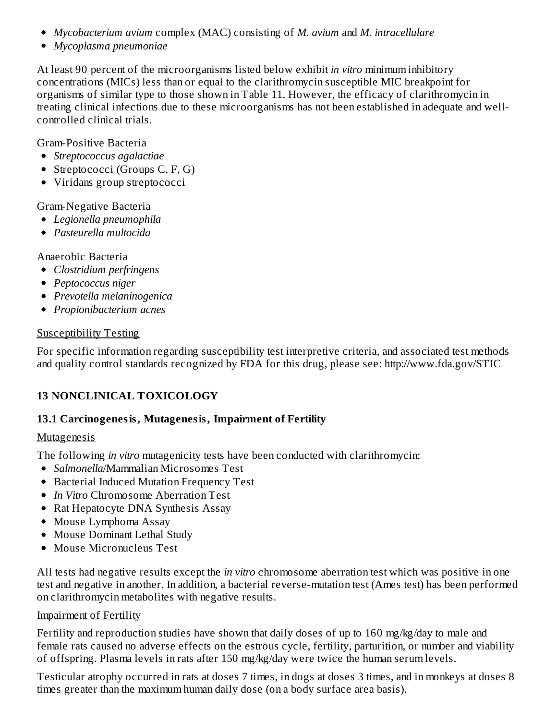- *Mycobacterium avium* complex (MAC) consisting of *M. avium* and *M. intracellulare*
- *Mycoplasma pneumoniae*

At least 90 percent of the microorganisms listed below exhibit *in vitro* minimum inhibitory concentrations (MICs) less than or equal to the clarithromycin susceptible MIC breakpoint for organisms of similar type to those shown in Table 11. However, the efficacy of clarithromycin in treating clinical infections due to these microorganisms has not been established in adequate and wellcontrolled clinical trials.

Gram-Positive Bacteria

- *Streptococcus agalactiae*
- Streptococci (Groups C, F, G)
- Viridans group streptococci

#### Gram-Negative Bacteria

- *Legionella pneumophila*
- *Pasteurella multocida*

Anaerobic Bacteria

- *Clostridium perfringens*
- *Peptococcus niger*
- *Prevotella melaninogenica*
- *Propionibacterium acnes*

#### Susceptibility Testing

For specific information regarding susceptibility test interpretive criteria, and associated test methods and quality control standards recognized by FDA for this drug, please see: http://www.fda.gov/STIC

# **13 NONCLINICAL TOXICOLOGY**

#### **13.1 Carcinogenesis, Mutagenesis, Impairment of Fertility**

#### Mutagenesis

The following *in vitro* mutagenicity tests have been conducted with clarithromycin:

- *Salmonella*/Mammalian Microsomes Test
- **Bacterial Induced Mutation Frequency Test**
- *In Vitro* Chromosome Aberration Test
- Rat Hepatocyte DNA Synthesis Assay
- Mouse Lymphoma Assay
- Mouse Dominant Lethal Study
- Mouse Micronucleus Test

All tests had negative results except the *in vitro* chromosome aberration test which was positive in one test and negative in another. In addition, a bacterial reverse-mutation test (Ames test) has been performed on clarithromycin metabolites with negative results.

#### Impairment of Fertility

Fertility and reproduction studies have shown that daily doses of up to 160 mg/kg/day to male and female rats caused no adverse effects on the estrous cycle, fertility, parturition, or number and viability of offspring. Plasma levels in rats after 150 mg/kg/day were twice the human serum levels.

Testicular atrophy occurred in rats at doses 7 times, in dogs at doses 3 times, and in monkeys at doses 8 times greater than the maximum human daily dose (on a body surface area basis).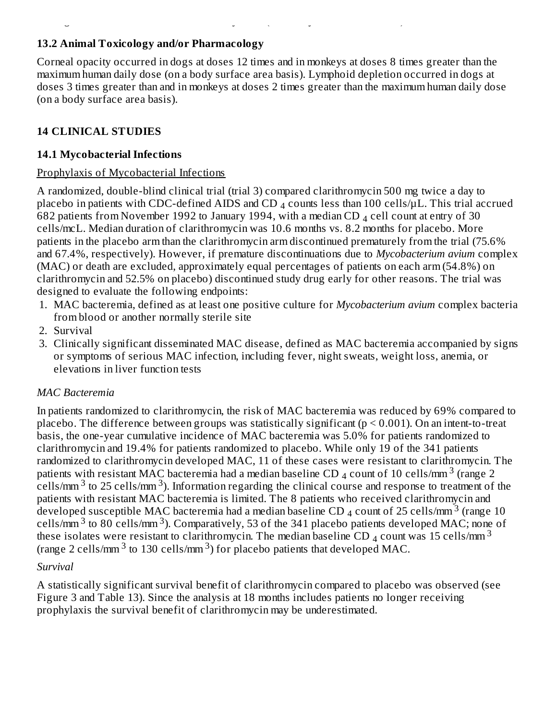## **13.2 Animal Toxicology and/or Pharmacology**

Corneal opacity occurred in dogs at doses 12 times and in monkeys at doses 8 times greater than the maximum human daily dose (on a body surface area basis). Lymphoid depletion occurred in dogs at doses 3 times greater than and in monkeys at doses 2 times greater than the maximum human daily dose (on a body surface area basis).

times greater than the maximum human daily dose (on a body surface area basis).

#### **14 CLINICAL STUDIES**

#### **14.1 Mycobacterial Infections**

#### Prophylaxis of Mycobacterial Infections

A randomized, double-blind clinical trial (trial 3) compared clarithromycin 500 mg twice a day to placebo in patients with CDC-defined AIDS and CD  $_4$  counts less than 100 cells/ $\mu$ L. This trial accrued 682 patients from November 1992 to January 1994, with a median CD  $_4$  cell count at entry of 30 cells/mcL. Median duration of clarithromycin was 10.6 months vs. 8.2 months for placebo. More patients in the placebo arm than the clarithromycin arm discontinued prematurely from the trial (75.6% and 67.4%, respectively). However, if premature discontinuations due to *Mycobacterium avium* complex (MAC) or death are excluded, approximately equal percentages of patients on each arm (54.8%) on clarithromycin and 52.5% on placebo) discontinued study drug early for other reasons. The trial was designed to evaluate the following endpoints:

- 1. MAC bacteremia, defined as at least one positive culture for *Mycobacterium avium* complex bacteria from blood or another normally sterile site
- 2. Survival
- 3. Clinically significant disseminated MAC disease, defined as MAC bacteremia accompanied by signs or symptoms of serious MAC infection, including fever, night sweats, weight loss, anemia, or elevations in liver function tests

#### *MAC Bacteremia*

In patients randomized to clarithromycin, the risk of MAC bacteremia was reduced by 69% compared to placebo. The difference between groups was statistically significant ( $p < 0.001$ ). On an intent-to-treat basis, the one-year cumulative incidence of MAC bacteremia was 5.0% for patients randomized to clarithromycin and 19.4% for patients randomized to placebo. While only 19 of the 341 patients randomized to clarithromycin developed MAC, 11 of these cases were resistant to clarithromycin. The patients with resistant MAC bacteremia had a median baseline CD  $_4$  count of 10 cells/mm  $^3$  (range 2 cells/mm  $3$  to 25 cells/mm  $3$ ). Information regarding the clinical course and response to treatment of the patients with resistant MAC bacteremia is limited. The 8 patients who received clarithromycin and developed susceptible MAC bacteremia had a median baseline CD  $_4$  count of 25 cells/mm  $^3$  (range 10  $\,$ cells/mm  $3$  to 80 cells/mm  $3$ ). Comparatively, 53 of the 341 placebo patients developed MAC; none of these isolates were resistant to clarithromycin. The median baseline CD <sub>4</sub> count was 15 cells/mm<sup>3</sup> (range 2 cells/mm<sup>3</sup> to 130 cells/mm<sup>3</sup>) for placebo patients that developed MAC.

#### *Survival*

A statistically significant survival benefit of clarithromycin compared to placebo was observed (see Figure 3 and Table 13). Since the analysis at 18 months includes patients no longer receiving prophylaxis the survival benefit of clarithromycin may be underestimated.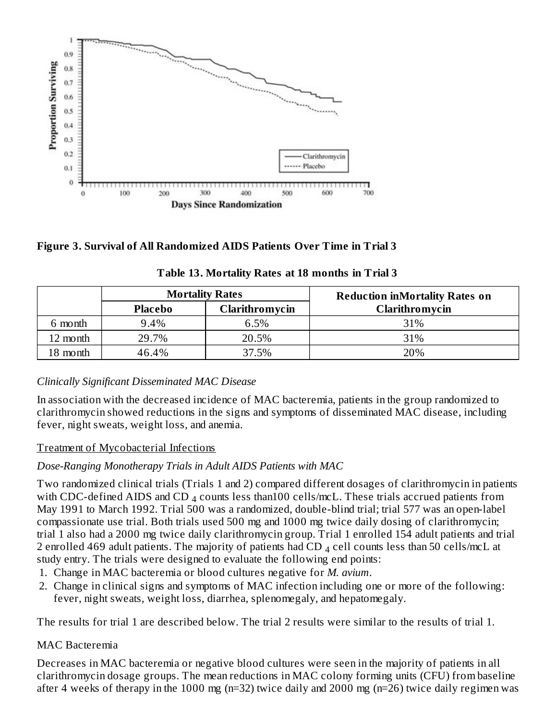

**Figure 3. Survival of All Randomized AIDS Patients Over Time in Trial 3**

| <b>Mortality Rates</b> |                                  |       | <b>Reduction inMortality Rates on</b> |  |
|------------------------|----------------------------------|-------|---------------------------------------|--|
|                        | Clarithromycin<br><b>Placebo</b> |       | Clarithromycin                        |  |
| 6 month                | 9.4%                             | 6.5%  | 31%                                   |  |
| 12 month               | 29.7%                            | 20.5% | 31%                                   |  |
| 18 month               | 46.4%                            | 37.5% | 20%                                   |  |

**Table 13. Mortality Rates at 18 months in Trial 3**

# *Clinically Significant Disseminated MAC Disease*

In association with the decreased incidence of MAC bacteremia, patients in the group randomized to clarithromycin showed reductions in the signs and symptoms of disseminated MAC disease, including fever, night sweats, weight loss, and anemia.

#### Treatment of Mycobacterial Infections

#### *Dose-Ranging Monotherapy Trials in Adult AIDS Patients with MAC*

Two randomized clinical trials (Trials 1 and 2) compared different dosages of clarithromycin in patients with CDC-defined AIDS and CD  $_4$  counts less than100 cells/mcL. These trials accrued patients from May 1991 to March 1992. Trial 500 was a randomized, double-blind trial; trial 577 was an open-label compassionate use trial. Both trials used 500 mg and 1000 mg twice daily dosing of clarithromycin; trial 1 also had a 2000 mg twice daily clarithromycin group. Trial 1 enrolled 154 adult patients and trial 2 enrolled 469 adult patients. The majority of patients had CD  $_4$  cell counts less than 50 cells/mcL at study entry. The trials were designed to evaluate the following end points:

- 1. Change in MAC bacteremia or blood cultures negative for *M. avium*.
- 2. Change in clinical signs and symptoms of MAC infection including one or more of the following: fever, night sweats, weight loss, diarrhea, splenomegaly, and hepatomegaly.

The results for trial 1 are described below. The trial 2 results were similar to the results of trial 1.

#### MAC Bacteremia

Decreases in MAC bacteremia or negative blood cultures were seen in the majority of patients in all clarithromycin dosage groups. The mean reductions in MAC colony forming units (CFU) from baseline after 4 weeks of therapy in the 1000 mg (n=32) twice daily and 2000 mg (n=26) twice daily regimen was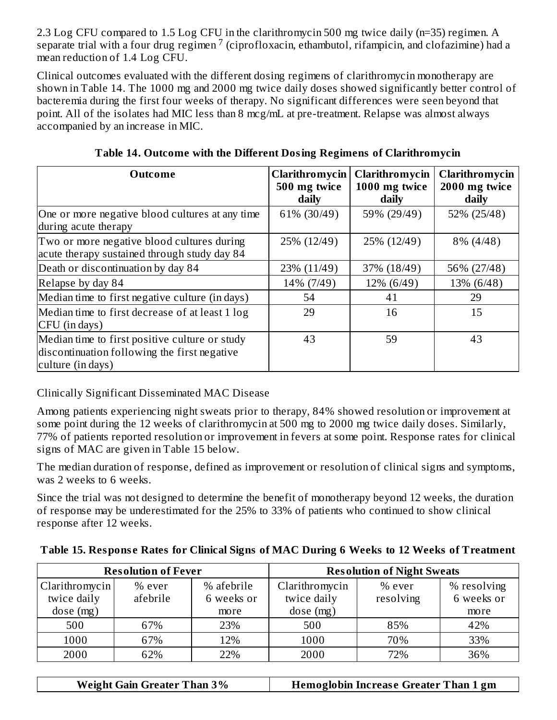2.3 Log CFU compared to 1.5 Log CFU in the clarithromycin 500 mg twice daily (n=35) regimen. A separate trial with a four drug regimen<sup>7</sup> (ciprofloxacin, ethambutol, rifampicin, and clofazimine) had a mean reduction of 1.4 Log CFU.

Clinical outcomes evaluated with the different dosing regimens of clarithromycin monotherapy are shown in Table 14. The 1000 mg and 2000 mg twice daily doses showed significantly better control of bacteremia during the first four weeks of therapy. No significant differences were seen beyond that point. All of the isolates had MIC less than 8 mcg/mL at pre-treatment. Relapse was almost always accompanied by an increase in MIC.

| Outcome                                                                                                             | Clarithromycin<br>500 mg twice<br>daily | Clarithromycin<br>1000 mg twice<br>daily | Clarithromycin<br>2000 mg twice<br>daily |
|---------------------------------------------------------------------------------------------------------------------|-----------------------------------------|------------------------------------------|------------------------------------------|
| One or more negative blood cultures at any time<br>during acute therapy                                             | 61% (30/49)                             | 59% (29/49)                              | 52% (25/48)                              |
| Two or more negative blood cultures during<br>acute therapy sustained through study day 84                          | 25% (12/49)                             | 25% (12/49)                              | 8% (4/48)                                |
| Death or discontinuation by day 84                                                                                  | 23% (11/49)                             | 37% (18/49)                              | 56% (27/48)                              |
| Relapse by day 84                                                                                                   | 14% (7/49)                              | 12% (6/49)                               | 13% (6/48)                               |
| Median time to first negative culture (in days)                                                                     | 54                                      | 41                                       | 29                                       |
| Median time to first decrease of at least 1 log<br>CFU (in days)                                                    | 29                                      | 16                                       | 15                                       |
| Median time to first positive culture or study<br>discontinuation following the first negative<br>culture (in days) | 43                                      | 59                                       | 43                                       |

**Table 14. Outcome with the Different Dosing Regimens of Clarithromycin**

Clinically Significant Disseminated MAC Disease

Among patients experiencing night sweats prior to therapy, 84% showed resolution or improvement at some point during the 12 weeks of clarithromycin at 500 mg to 2000 mg twice daily doses. Similarly, 77% of patients reported resolution or improvement in fevers at some point. Response rates for clinical signs of MAC are given in Table 15 below.

The median duration of response, defined as improvement or resolution of clinical signs and symptoms, was 2 weeks to 6 weeks.

Since the trial was not designed to determine the benefit of monotherapy beyond 12 weeks, the duration of response may be underestimated for the 25% to 33% of patients who continued to show clinical response after 12 weeks.

| Table 15. Response Rates for Clinical Signs of MAC During 6 Weeks to 12 Weeks of Treatment |  |  |  |
|--------------------------------------------------------------------------------------------|--|--|--|
|                                                                                            |  |  |  |

| <b>Resolution of Fever</b>                |                    |                                  | <b>Resolution of Night Sweats</b>         |                     |                                   |  |
|-------------------------------------------|--------------------|----------------------------------|-------------------------------------------|---------------------|-----------------------------------|--|
| Clarithromycin<br>twice daily<br>dose(mg) | % ever<br>afebrile | % afebrile<br>6 weeks or<br>more | Clarithromycin<br>twice daily<br>dose(mg) | % ever<br>resolving | % resolving<br>6 weeks or<br>more |  |
| 500                                       | 67%                | 23%                              | 500                                       | 85%                 | 42%                               |  |
| 1000                                      | 67%                | 12%                              | 1000                                      | 70%                 | 33%                               |  |
| 2000                                      | 62%                | 22%                              | 2000                                      | 72%                 | 36%                               |  |

| <b>Weight Gain Greater Than 3%</b> | <b>Hemoglobin Increase Greater Than 1 gm</b> |
|------------------------------------|----------------------------------------------|
|------------------------------------|----------------------------------------------|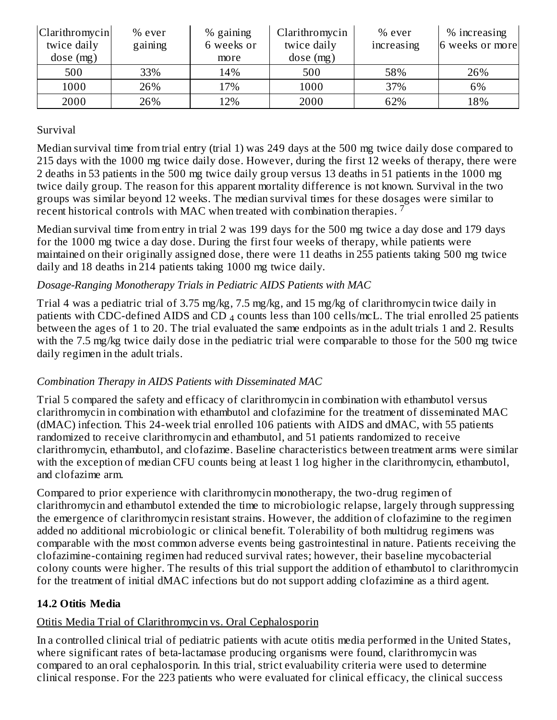| Clarithromycin<br>twice daily<br>dose(mg) | $%$ ever<br>gaining | $%$ gaining<br>6 weeks or<br>more | Clarithromycin<br>twice daily<br>dose(mg) | % ever<br>increasing | % increasing<br>6 weeks or more |
|-------------------------------------------|---------------------|-----------------------------------|-------------------------------------------|----------------------|---------------------------------|
| 500                                       | 33%                 | 14%                               | 500                                       | 58%                  | 26%                             |
| 1000                                      | 26%                 | 17%                               | 1000                                      | 37%                  | 6%                              |
| 2000                                      | 26%                 | 12%                               | 2000                                      | 62%                  | 18%                             |

#### Survival

Median survival time from trial entry (trial 1) was 249 days at the 500 mg twice daily dose compared to 215 days with the 1000 mg twice daily dose. However, during the first 12 weeks of therapy, there were 2 deaths in 53 patients in the 500 mg twice daily group versus 13 deaths in 51 patients in the 1000 mg twice daily group. The reason for this apparent mortality difference is not known. Survival in the two groups was similar beyond 12 weeks. The median survival times for these dosages were similar to recent historical controls with MAC when treated with combination therapies.  $^7$ 

Median survival time from entry in trial 2 was 199 days for the 500 mg twice a day dose and 179 days for the 1000 mg twice a day dose. During the first four weeks of therapy, while patients were maintained on their originally assigned dose, there were 11 deaths in 255 patients taking 500 mg twice daily and 18 deaths in 214 patients taking 1000 mg twice daily.

#### *Dosage-Ranging Monotherapy Trials in Pediatric AIDS Patients with MAC*

Trial 4 was a pediatric trial of 3.75 mg/kg, 7.5 mg/kg, and 15 mg/kg of clarithromycin twice daily in patients with CDC-defined AIDS and CD  $_4$  counts less than 100 cells/mcL. The trial enrolled 25 patients between the ages of 1 to 20. The trial evaluated the same endpoints as in the adult trials 1 and 2. Results with the 7.5 mg/kg twice daily dose in the pediatric trial were comparable to those for the 500 mg twice daily regimen in the adult trials.

#### *Combination Therapy in AIDS Patients with Disseminated MAC*

Trial 5 compared the safety and efficacy of clarithromycin in combination with ethambutol versus clarithromycin in combination with ethambutol and clofazimine for the treatment of disseminated MAC (dMAC) infection. This 24-week trial enrolled 106 patients with AIDS and dMAC, with 55 patients randomized to receive clarithromycin and ethambutol, and 51 patients randomized to receive clarithromycin, ethambutol, and clofazime. Baseline characteristics between treatment arms were similar with the exception of median CFU counts being at least 1 log higher in the clarithromycin, ethambutol, and clofazime arm.

Compared to prior experience with clarithromycin monotherapy, the two-drug regimen of clarithromycin and ethambutol extended the time to microbiologic relapse, largely through suppressing the emergence of clarithromycin resistant strains. However, the addition of clofazimine to the regimen added no additional microbiologic or clinical benefit. Tolerability of both multidrug regimens was comparable with the most common adverse events being gastrointestinal in nature. Patients receiving the clofazimine-containing regimen had reduced survival rates; however, their baseline mycobacterial colony counts were higher. The results of this trial support the addition of ethambutol to clarithromycin for the treatment of initial dMAC infections but do not support adding clofazimine as a third agent.

#### **14.2 Otitis Media**

#### Otitis Media Trial of Clarithromycin vs. Oral Cephalosporin

In a controlled clinical trial of pediatric patients with acute otitis media performed in the United States, where significant rates of beta-lactamase producing organisms were found, clarithromycin was compared to an oral cephalosporin. In this trial, strict evaluability criteria were used to determine clinical response. For the 223 patients who were evaluated for clinical efficacy, the clinical success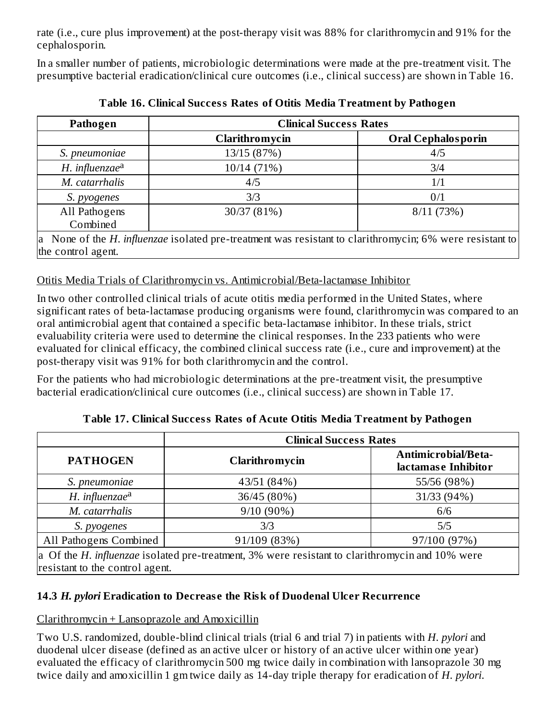rate (i.e., cure plus improvement) at the post-therapy visit was 88% for clarithromycin and 91% for the cephalosporin.

In a smaller number of patients, microbiologic determinations were made at the pre-treatment visit. The presumptive bacterial eradication/clinical cure outcomes (i.e., clinical success) are shown in Table 16.

| Pathogen                                                                                                                       | <b>Clinical Success Rates</b> |                           |  |  |  |
|--------------------------------------------------------------------------------------------------------------------------------|-------------------------------|---------------------------|--|--|--|
|                                                                                                                                | Clarithromycin                | <b>Oral Cephalosporin</b> |  |  |  |
| S. pneumoniae                                                                                                                  | 13/15 (87%)                   | 4/5                       |  |  |  |
| H. influenzae <sup>a</sup>                                                                                                     | 10/14 (71%)                   | 3/4                       |  |  |  |
| M. catarrhalis                                                                                                                 | 4/5                           | 1/1                       |  |  |  |
| S. pyogenes                                                                                                                    | 3/3                           | 0/1                       |  |  |  |
| All Pathogens<br>Combined                                                                                                      | 30/37 (81%)                   | 8/11(73%)                 |  |  |  |
| a None of the H. influenzae isolated pre-treatment was resistant to clarithromycin; 6% were resistant to<br>the control agent. |                               |                           |  |  |  |

**Table 16. Clinical Success Rates of Otitis Media Treatment by Pathogen**

# Otitis Media Trials of Clarithromycin vs. Antimicrobial/Beta-lactamase Inhibitor

In two other controlled clinical trials of acute otitis media performed in the United States, where significant rates of beta-lactamase producing organisms were found, clarithromycin was compared to an oral antimicrobial agent that contained a specific beta-lactamase inhibitor. In these trials, strict evaluability criteria were used to determine the clinical responses. In the 233 patients who were evaluated for clinical efficacy, the combined clinical success rate (i.e., cure and improvement) at the post-therapy visit was 91% for both clarithromycin and the control.

For the patients who had microbiologic determinations at the pre-treatment visit, the presumptive bacterial eradication/clinical cure outcomes (i.e., clinical success) are shown in Table 17.

**Clinical Success Rates PATHOGEN Clarithromycin Antimicrobial/Betalactamas e Inhibitor** *S. pneumoniae* 43/51 (84%) 55/56 (98%) *H.* influenzae<sup>a</sup> 11/33 (94%) 36/45 (80%) 31/33 (94%) *M. catarrhalis* 1 6/6 *S. pyogenes* 3/3 5/5 All Pathogens Combined 91/109 (83%) 97/100 (97%) a Of the *H. influenzae* isolated pre-treatment, 3% were resistant to clarithromycin and 10% were resistant to the control agent.

**Table 17. Clinical Success Rates of Acute Otitis Media Treatment by Pathogen**

**14.3** *H. pylori* **Eradication to Decreas e the Risk of Duodenal Ulcer Recurrence**

Clarithromycin + Lansoprazole and Amoxicillin

Two U.S. randomized, double-blind clinical trials (trial 6 and trial 7) in patients with *H. pylori* and duodenal ulcer disease (defined as an active ulcer or history of an active ulcer within one year) evaluated the efficacy of clarithromycin 500 mg twice daily in combination with lansoprazole 30 mg twice daily and amoxicillin 1 gm twice daily as 14-day triple therapy for eradication of *H. pylori*.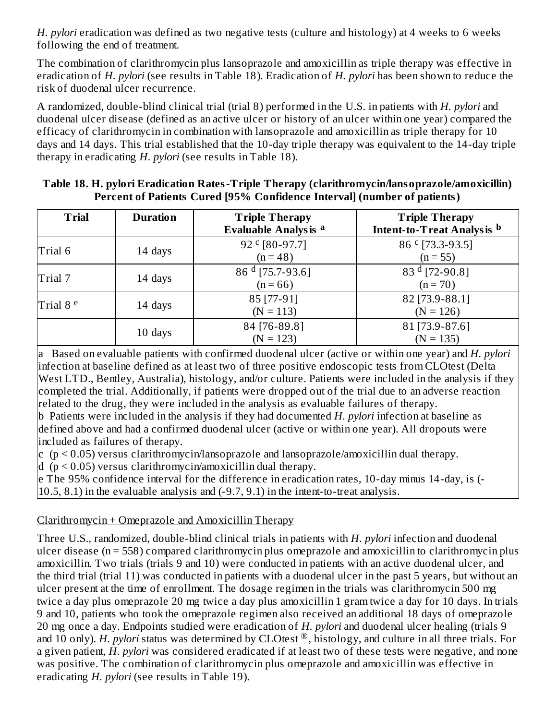*H. pylori* eradication was defined as two negative tests (culture and histology) at 4 weeks to 6 weeks following the end of treatment.

The combination of clarithromycin plus lansoprazole and amoxicillin as triple therapy was effective in eradication of *H. pylori* (see results in Table 18). Eradication of *H. pylori* has been shown to reduce the risk of duodenal ulcer recurrence.

A randomized, double-blind clinical trial (trial 8) performed in the U.S. in patients with *H. pylori* and duodenal ulcer disease (defined as an active ulcer or history of an ulcer within one year) compared the efficacy of clarithromycin in combination with lansoprazole and amoxicillin as triple therapy for 10 days and 14 days. This trial established that the 10-day triple therapy was equivalent to the 14-day triple therapy in eradicating *H. pylori* (see results in Table 18).

| <b>Trial</b>         | <b>Duration</b> | <b>Triple Therapy</b><br><b>Evaluable Analysis a</b> | <b>Triple Therapy</b><br><b>Intent-to-Treat Analysis</b> b |
|----------------------|-----------------|------------------------------------------------------|------------------------------------------------------------|
| Trial 6              | 14 days         | 92 ° [80-97.7]<br>$(n = 48)$                         | 86 ° [73.3-93.5]<br>$(n = 55)$                             |
| Trial 7              | 14 days         | 86 $d$ [75.7-93.6]<br>$(n = 66)$                     | $83d$ [72-90.8]<br>$(n = 70)$                              |
| Trial 8 <sup>e</sup> | 14 days         | 85 [77-91]<br>$(N = 113)$                            | 82 [73.9-88.1]<br>$(N = 126)$                              |
|                      | 10 days         | 84 [76-89.8]<br>$(N = 123)$                          | 81 [73.9-87.6]<br>$(N = 135)$                              |

#### **Table 18. H. pylori Eradication Rates-Triple Therapy (clarithromycin/lansoprazole/amoxicillin) Percent of Patients Cured [95% Confidence Interval] (number of patients)**

a Based on evaluable patients with confirmed duodenal ulcer (active or within one year) and *H. pylori* infection at baseline defined as at least two of three positive endoscopic tests from CLOtest (Delta West LTD., Bentley, Australia), histology, and/or culture. Patients were included in the analysis if they completed the trial. Additionally, if patients were dropped out of the trial due to an adverse reaction related to the drug, they were included in the analysis as evaluable failures of therapy.

b Patients were included in the analysis if they had documented *H. pylori* infection at baseline as defined above and had a confirmed duodenal ulcer (active or within one year). All dropouts were included as failures of therapy.

 $|c\rangle$  (p < 0.05) versus clarithromycin/lansoprazole and lansoprazole/amoxicillin dual therapy.

d (p < 0.05) versus clarithromycin/amoxicillin dual therapy.

e The 95% confidence interval for the difference in eradication rates, 10-day minus 14-day, is (- 10.5, 8.1) in the evaluable analysis and (-9.7, 9.1) in the intent-to-treat analysis.

# Clarithromycin + Omeprazole and Amoxicillin Therapy

Three U.S., randomized, double-blind clinical trials in patients with *H. pylori* infection and duodenal ulcer disease (n = 558) compared clarithromycin plus omeprazole and amoxicillin to clarithromycin plus amoxicillin. Two trials (trials 9 and 10) were conducted in patients with an active duodenal ulcer, and the third trial (trial 11) was conducted in patients with a duodenal ulcer in the past 5 years, but without an ulcer present at the time of enrollment. The dosage regimen in the trials was clarithromycin 500 mg twice a day plus omeprazole 20 mg twice a day plus amoxicillin 1 gram twice a day for 10 days. In trials 9 and 10, patients who took the omeprazole regimen also received an additional 18 days of omeprazole 20 mg once a day. Endpoints studied were eradication of *H. pylori* and duodenal ulcer healing (trials 9 and 10 only). *H. pylori* status was determined by CLOtest ®, histology, and culture in all three trials. For a given patient, *H. pylori* was considered eradicated if at least two of these tests were negative, and none was positive. The combination of clarithromycin plus omeprazole and amoxicillin was effective in eradicating *H. pylori* (see results in Table 19).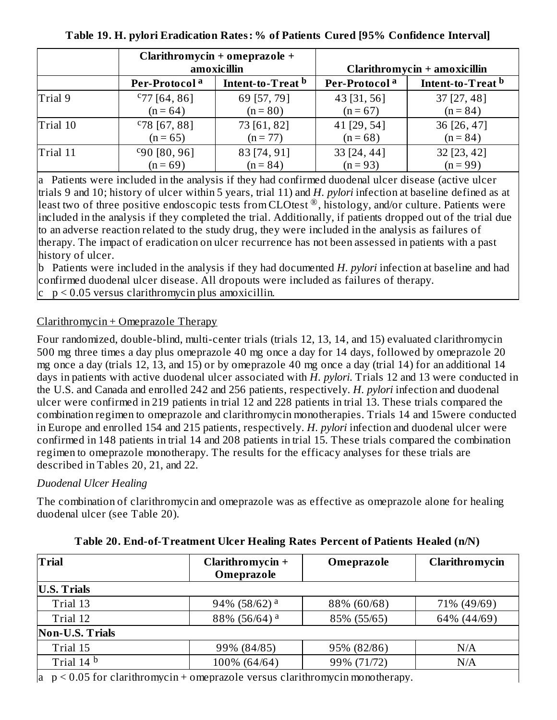|          | Clarithromycin + omeprazole +<br>amoxicillin |                   | Clarithromycin + amoxicillin |                   |  |
|----------|----------------------------------------------|-------------------|------------------------------|-------------------|--|
|          | Per-Protocol <sup>a</sup>                    | Intent-to-Treat b | Per-Protocol <sup>a</sup>    | Intent-to-Treat b |  |
| Trial 9  | $C$ 77 [64, 86]                              | 69 [57, 79]       | 43 [31, 56]                  | 37 [27, 48]       |  |
|          | $(n = 64)$                                   | $(n = 80)$        | $(n = 67)$                   | $(n = 84)$        |  |
| Trial 10 | $C78$ [67, 88]                               | 73 [61, 82]       | 41 [29, 54]                  | 36 [26, 47]       |  |
|          | $(n = 65)$                                   | $(n = 77)$        | $(n = 68)$                   | $(n = 84)$        |  |
| Trial 11 | $c_{90}$ [80, 96]                            | 83 [74, 91]       | 33 [24, 44]                  | 32 [23, 42]       |  |
|          | $(n = 69)$                                   | $(n = 84)$        | $(n = 93)$                   | $(n = 99)$        |  |

**Table 19. H. pylori Eradication Rates: % of Patients Cured [95% Confidence Interval]**

a Patients were included in the analysis if they had confirmed duodenal ulcer disease (active ulcer trials 9 and 10; history of ulcer within 5 years, trial 11) and *H. pylori* infection at baseline defined as at least two of three positive endoscopic tests from CLOtest ®, histology, and/or culture. Patients were included in the analysis if they completed the trial. Additionally, if patients dropped out of the trial due to an adverse reaction related to the study drug, they were included in the analysis as failures of therapy. The impact of eradication on ulcer recurrence has not been assessed in patients with a past history of ulcer.

b Patients were included in the analysis if they had documented *H. pylori* infection at baseline and had confirmed duodenal ulcer disease. All dropouts were included as failures of therapy.

 $\rm c$   $\rm p$  < 0.05 versus clarithromycin plus amoxicillin.

# Clarithromycin + Omeprazole Therapy

Four randomized, double-blind, multi-center trials (trials 12, 13, 14, and 15) evaluated clarithromycin 500 mg three times a day plus omeprazole 40 mg once a day for 14 days, followed by omeprazole 20 mg once a day (trials 12, 13, and 15) or by omeprazole 40 mg once a day (trial 14) for an additional 14 days in patients with active duodenal ulcer associated with *H. pylori*. Trials 12 and 13 were conducted in the U.S. and Canada and enrolled 242 and 256 patients, respectively. *H. pylori* infection and duodenal ulcer were confirmed in 219 patients in trial 12 and 228 patients in trial 13. These trials compared the combination regimen to omeprazole and clarithromycin monotherapies. Trials 14 and 15were conducted in Europe and enrolled 154 and 215 patients, respectively. *H. pylori* infection and duodenal ulcer were confirmed in 148 patients in trial 14 and 208 patients in trial 15. These trials compared the combination regimen to omeprazole monotherapy. The results for the efficacy analyses for these trials are described in Tables 20, 21, and 22.

# *Duodenal Ulcer Healing*

The combination of clarithromycin and omeprazole was as effective as omeprazole alone for healing duodenal ulcer (see Table 20).

| <b>Trial</b>                                                                               | Clarithromycin +<br>Omeprazole | Omeprazole  | Clarithromycin |  |  |  |
|--------------------------------------------------------------------------------------------|--------------------------------|-------------|----------------|--|--|--|
| <b>U.S. Trials</b>                                                                         |                                |             |                |  |  |  |
| Trial 13                                                                                   | 94% (58/62) <sup>a</sup>       | 88% (60/68) | 71% (49/69)    |  |  |  |
| Trial 12                                                                                   | 88% (56/64) <sup>a</sup>       | 85% (55/65) | 64% (44/69)    |  |  |  |
| <b>Non-U.S. Trials</b>                                                                     |                                |             |                |  |  |  |
| Trial 15                                                                                   | 99% (84/85)                    | 95% (82/86) | N/A            |  |  |  |
| Trial 14 <sup>b</sup>                                                                      | 100% (64/64)                   | 99% (71/72) | N/A            |  |  |  |
| $a_{\rm p}$ $\leq$ 0.05 for clarithromycin + omeprazole versus clarithromycin monotherapy. |                                |             |                |  |  |  |

# **Table 20. End-of-Treatment Ulcer Healing Rates Percent of Patients Healed (n/N)**

 $a$  p < 0.05 for clarithromycin + omeprazole versus clarithromycin monotherapy.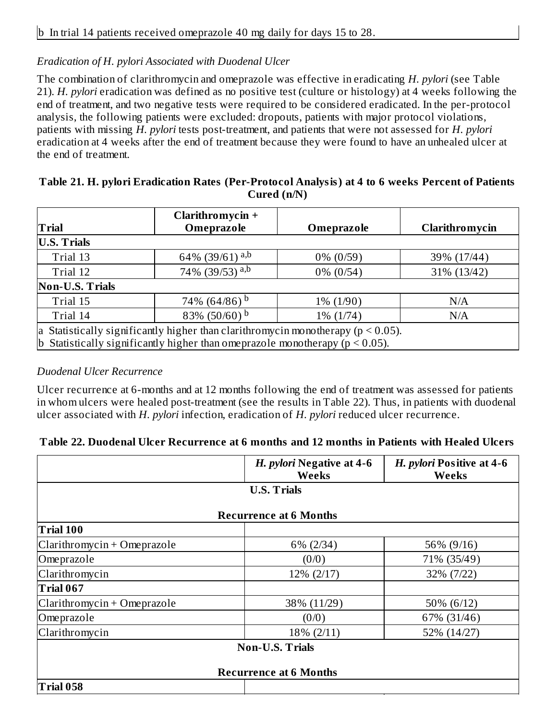#### *Eradication of H. pylori Associated with Duodenal Ulcer*

The combination of clarithromycin and omeprazole was effective in eradicating *H. pylori* (see Table 21). *H. pylori* eradication was defined as no positive test (culture or histology) at 4 weeks following the end of treatment, and two negative tests were required to be considered eradicated. In the per-protocol analysis, the following patients were excluded: dropouts, patients with major protocol violations, patients with missing *H. pylori* tests post-treatment, and patients that were not assessed for *H. pylori* eradication at 4 weeks after the end of treatment because they were found to have an unhealed ulcer at the end of treatment.

#### **Table 21. H. pylori Eradication Rates (Per-Protocol Analysis) at 4 to 6 weeks Percent of Patients Cured (n/N)**

| <b>Trial</b>                                                                                                                                                             | Clarithromycin +<br>Omeprazole | Omeprazole   | Clarithromycin |  |  |  |
|--------------------------------------------------------------------------------------------------------------------------------------------------------------------------|--------------------------------|--------------|----------------|--|--|--|
| <b>U.S. Trials</b>                                                                                                                                                       |                                |              |                |  |  |  |
| Trial 13                                                                                                                                                                 | 64% (39/61) <sup>a,b</sup>     | $0\%$ (0/59) | 39% (17/44)    |  |  |  |
| Trial 12                                                                                                                                                                 | 74% (39/53) <sup>a,b</sup>     | $0\%$ (0/54) | 31% (13/42)    |  |  |  |
| <b>Non-U.S. Trials</b>                                                                                                                                                   |                                |              |                |  |  |  |
| Trial 15                                                                                                                                                                 | 74% (64/86) <sup>b</sup>       | $1\% (1/90)$ | N/A            |  |  |  |
| Trial 14                                                                                                                                                                 | 83% (50/60) $^{\rm b}$         | 1% (1/74)    | N/A            |  |  |  |
| a Statistically significantly higher than clarithromycin monotherapy ( $p < 0.05$ ).<br>b Statistically significantly higher than omeprazole monotherapy ( $p < 0.05$ ). |                                |              |                |  |  |  |

#### *Duodenal Ulcer Recurrence*

Ulcer recurrence at 6-months and at 12 months following the end of treatment was assessed for patients in whom ulcers were healed post-treatment (see the results in Table 22). Thus, in patients with duodenal ulcer associated with *H. pylori* infection, eradication of *H. pylori* reduced ulcer recurrence.

#### **Table 22. Duodenal Ulcer Recurrence at 6 months and 12 months in Patients with Healed Ulcers**

|                               | H. pylori Negative at 4-6<br>Weeks | H. pylori Positive at 4-6<br>Weeks |  |  |  |  |
|-------------------------------|------------------------------------|------------------------------------|--|--|--|--|
| <b>U.S. Trials</b>            |                                    |                                    |  |  |  |  |
|                               | <b>Recurrence at 6 Months</b>      |                                    |  |  |  |  |
| Trial 100                     |                                    |                                    |  |  |  |  |
| $Clarithromycin + Omeprazole$ | $6\%$ (2/34)                       | 56% (9/16)                         |  |  |  |  |
| Omeprazole                    | (0/0)                              | 71% (35/49)                        |  |  |  |  |
| Clarithromycin                | 12% (2/17)                         | 32% (7/22)                         |  |  |  |  |
| Trial 067                     |                                    |                                    |  |  |  |  |
| $Clarithromycin + Omeprazole$ | 38% (11/29)                        | 50% (6/12)                         |  |  |  |  |
| Omeprazole                    | (0/0)                              | 67% (31/46)                        |  |  |  |  |
| Clarithromycin                | 18% (2/11)                         | 52% (14/27)                        |  |  |  |  |
| <b>Non-U.S. Trials</b>        |                                    |                                    |  |  |  |  |
| <b>Recurrence at 6 Months</b> |                                    |                                    |  |  |  |  |
| Trial 058                     |                                    |                                    |  |  |  |  |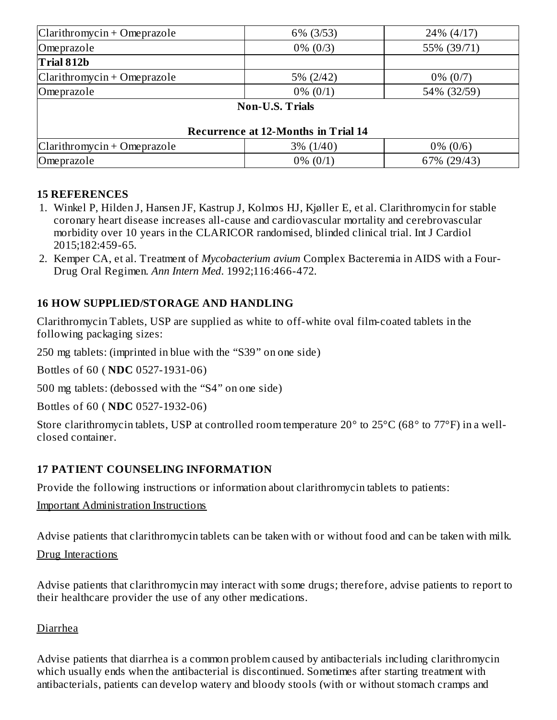| Clarithromycin + Omeprazole                | 6% (3/53)              | 24% (4/17)  |  |  |  |
|--------------------------------------------|------------------------|-------------|--|--|--|
| Omeprazole                                 | $0\% (0/3)$            | 55% (39/71) |  |  |  |
| Trial 812b                                 |                        |             |  |  |  |
| Clarithromycin + Omeprazole                | $5\% (2/42)$           | $0\% (0/7)$ |  |  |  |
| Omeprazole                                 | $0\% (0/1)$            | 54% (32/59) |  |  |  |
|                                            | <b>Non-U.S. Trials</b> |             |  |  |  |
| <b>Recurrence at 12-Months in Trial 14</b> |                        |             |  |  |  |
| Clarithromycin + Omeprazole                | $3\% (1/40)$           | $0\% (0/6)$ |  |  |  |
| Omeprazole                                 | $0\% (0/1)$            | 67% (29/43) |  |  |  |

#### **15 REFERENCES**

- 1. Winkel P, Hilden J, Hansen JF, Kastrup J, Kolmos HJ, Kjøller E, et al. Clarithromycin for stable coronary heart disease increases all-cause and cardiovascular mortality and cerebrovascular morbidity over 10 years in the CLARICOR randomised, blinded clinical trial. Int J Cardiol 2015;182:459-65.
- 2. Kemper CA, et al. Treatment of *Mycobacterium avium* Complex Bacteremia in AIDS with a Four-Drug Oral Regimen. *Ann Intern Med*. 1992;116:466-472.

# **16 HOW SUPPLIED/STORAGE AND HANDLING**

Clarithromycin Tablets, USP are supplied as white to off-white oval film-coated tablets in the following packaging sizes:

250 mg tablets: (imprinted in blue with the "S39" on one side)

Bottles of 60 ( **NDC** 0527-1931-06)

500 mg tablets: (debossed with the "S4" on one side)

Bottles of 60 ( **NDC** 0527-1932-06)

Store clarithromycin tablets, USP at controlled room temperature 20° to 25°C (68° to 77°F) in a wellclosed container.

# **17 PATIENT COUNSELING INFORMATION**

Provide the following instructions or information about clarithromycin tablets to patients:

#### Important Administration Instructions

Advise patients that clarithromycin tablets can be taken with or without food and can be taken with milk.

#### Drug Interactions

Advise patients that clarithromycin may interact with some drugs; therefore, advise patients to report to their healthcare provider the use of any other medications.

#### Diarrhea

Advise patients that diarrhea is a common problem caused by antibacterials including clarithromycin which usually ends when the antibacterial is discontinued. Sometimes after starting treatment with antibacterials, patients can develop watery and bloody stools (with or without stomach cramps and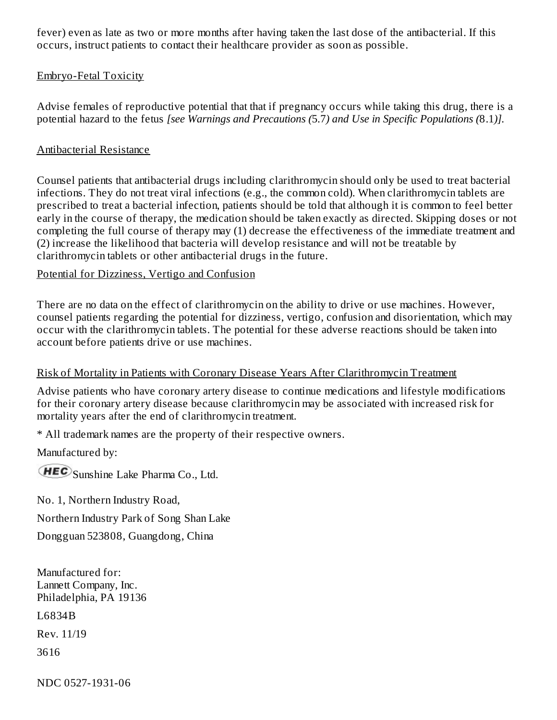fever) even as late as two or more months after having taken the last dose of the antibacterial. If this occurs, instruct patients to contact their healthcare provider as soon as possible.

#### Embryo-Fetal Toxicity

Advise females of reproductive potential that that if pregnancy occurs while taking this drug, there is a potential hazard to the fetus *[see Warnings and Precautions (*5.7*) and Use in Specific Populations (*8.1*)].*

#### Antibacterial Resistance

Counsel patients that antibacterial drugs including clarithromycin should only be used to treat bacterial infections. They do not treat viral infections (e.g., the common cold). When clarithromycin tablets are prescribed to treat a bacterial infection, patients should be told that although it is common to feel better early in the course of therapy, the medication should be taken exactly as directed. Skipping doses or not completing the full course of therapy may (1) decrease the effectiveness of the immediate treatment and (2) increase the likelihood that bacteria will develop resistance and will not be treatable by clarithromycin tablets or other antibacterial drugs in the future.

#### Potential for Dizziness, Vertigo and Confusion

There are no data on the effect of clarithromycin on the ability to drive or use machines. However, counsel patients regarding the potential for dizziness, vertigo, confusion and disorientation, which may occur with the clarithromycin tablets. The potential for these adverse reactions should be taken into account before patients drive or use machines.

#### Risk of Mortality in Patients with Coronary Disease Years After Clarithromycin Treatment

Advise patients who have coronary artery disease to continue medications and lifestyle modifications for their coronary artery disease because clarithromycin may be associated with increased risk for mortality years after the end of clarithromycin treatment.

\* All trademark names are the property of their respective owners.

Manufactured by:

**HEC** Sunshine Lake Pharma Co., Ltd.

No. 1, Northern Industry Road, Northern Industry Park of Song Shan Lake

Dongguan 523808, Guangdong, China

Manufactured for: Lannett Company, Inc. Philadelphia, PA 19136

L6834B

Rev. 11/19

3616

NDC 0527-1931-06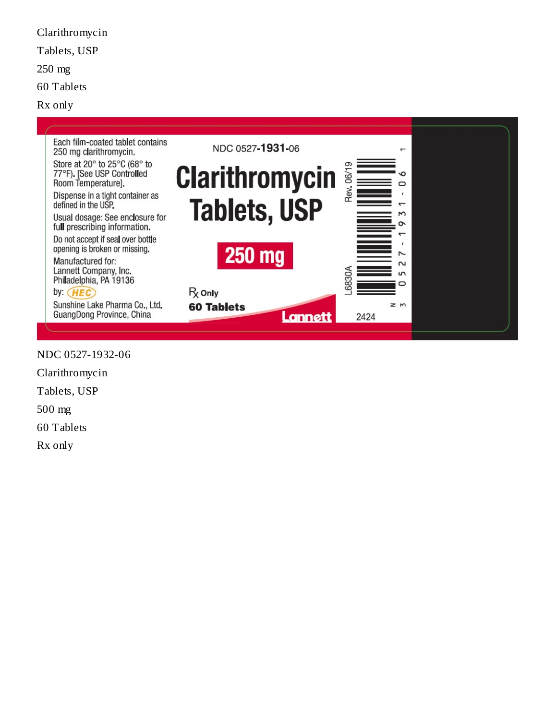Tablets, USP 250 mg 60 Tablets Rx only Each film-coated tablet contains NDC 0527-1931-06  $\overline{ }$ 250 mg clarithromycin. Store at 20° to 25°C (68° to Rev. 06/19 **Clarithromycin** 77°F). [See USP Controlled o Room Temperature].  $\circ$  $\mathbf{r}$ Dispense in a tight container as **Tablets, USP** defined in the USP.  $\overline{\phantom{0}}$ Μ Usual dosage: See enclosure for ò full prescribing information.  $\overline{ }$ Do not accept if seal over bottle  $\mathbf{r}$ opening is broken or missing. **250 mg**  $\sim$ Manufactured for:  $\sim$ Lannett Company, Inc. .6830A  $\overline{5}$ Philadelphia, PA 19136 O  $R_X$  Only by: HEC Sunshine Lake Pharma Co., Ltd.  $\geq m$ **60 Tablets** GuangDong Province, China Lannett 2424

NDC 0527-1932-06

Clarithromycin

Clarithromycin

Tablets, USP

500 mg

60 Tablets

Rx only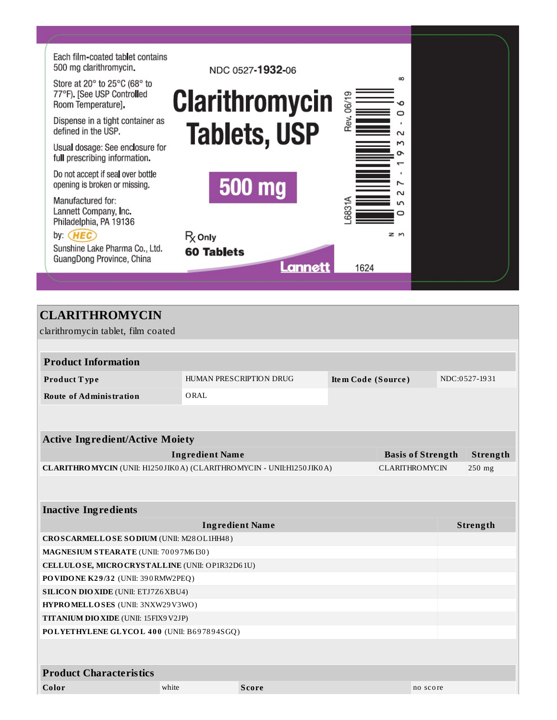

| <b>CLARITHROMYCIN</b>                                                  |                        |                         |                    |                          |               |
|------------------------------------------------------------------------|------------------------|-------------------------|--------------------|--------------------------|---------------|
| clarithromycin tablet, film coated                                     |                        |                         |                    |                          |               |
|                                                                        |                        |                         |                    |                          |               |
| <b>Product Information</b>                                             |                        |                         |                    |                          |               |
| Product Type                                                           |                        | HUMAN PRESCRIPTION DRUG | Item Code (Source) |                          | NDC:0527-1931 |
| <b>Route of Administration</b>                                         | ORAL                   |                         |                    |                          |               |
|                                                                        |                        |                         |                    |                          |               |
|                                                                        |                        |                         |                    |                          |               |
| <b>Active Ingredient/Active Moiety</b>                                 |                        |                         |                    |                          |               |
|                                                                        | <b>Ingredient Name</b> |                         |                    | <b>Basis of Strength</b> | Strength      |
| CLARITHROMYCIN (UNII: H1250 JIKOA) (CLARITHROMYCIN - UNII:H1250 JIKOA) |                        |                         |                    | <b>CLARITHROMYCIN</b>    | 250 mg        |
|                                                                        |                        |                         |                    |                          |               |
|                                                                        |                        |                         |                    |                          |               |
| <b>Inactive Ingredients</b>                                            |                        |                         |                    |                          |               |
|                                                                        |                        | <b>Ingredient Name</b>  |                    |                          | Strength      |
| CROSCARMELLOSE SODIUM (UNII: M28OL1HH48)                               |                        |                         |                    |                          |               |
| MAGNESIUM STEARATE (UNII: 70097M6I30)                                  |                        |                         |                    |                          |               |
| CELLULOSE, MICRO CRYSTALLINE (UNII: OP1R32D61U)                        |                        |                         |                    |                          |               |
| PO VIDO NE K29/32 (UNII: 390 RMW2PEQ)                                  |                        |                         |                    |                          |               |
| <b>SILICON DIO XIDE (UNII: ETJ7Z6 XBU4)</b>                            |                        |                         |                    |                          |               |
| HYPROMELLOSES (UNII: 3NXW29V3WO)                                       |                        |                         |                    |                          |               |
| <b>TITANIUM DIO XIDE (UNII: 15FIX9 V2JP)</b>                           |                        |                         |                    |                          |               |
| POLYETHYLENE GLYCOL 400 (UNII: B697894SGQ)                             |                        |                         |                    |                          |               |
|                                                                        |                        |                         |                    |                          |               |
|                                                                        |                        |                         |                    |                          |               |
| <b>Product Characteristics</b>                                         |                        |                         |                    |                          |               |
| Color                                                                  | white                  | <b>Score</b>            |                    | no score                 |               |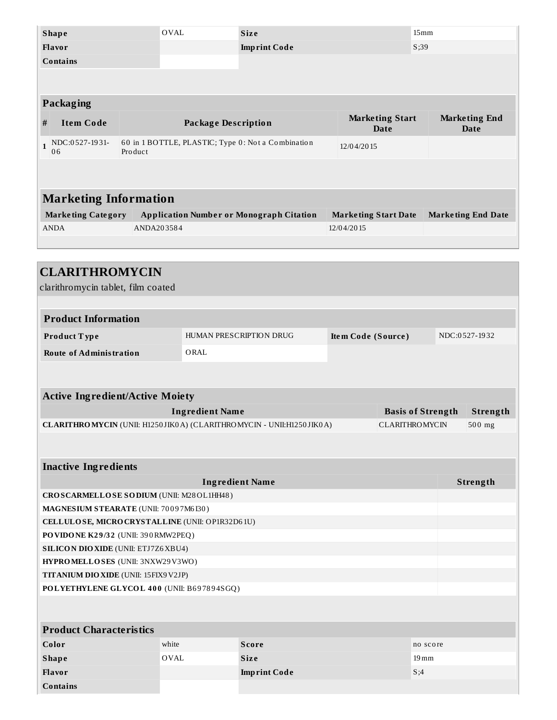| <b>Shape</b>                                                                             |                     | <b>OVAL</b>  |                                                 | <b>Size</b>                                                          |                    |                                       |                                                          | 15mm |                                     |        |
|------------------------------------------------------------------------------------------|---------------------|--------------|-------------------------------------------------|----------------------------------------------------------------------|--------------------|---------------------------------------|----------------------------------------------------------|------|-------------------------------------|--------|
| Flavor                                                                                   |                     |              |                                                 | <b>Imprint Code</b>                                                  |                    |                                       | S;39                                                     |      |                                     |        |
| <b>Contains</b>                                                                          |                     |              |                                                 |                                                                      |                    |                                       |                                                          |      |                                     |        |
|                                                                                          |                     |              |                                                 |                                                                      |                    |                                       |                                                          |      |                                     |        |
|                                                                                          |                     |              |                                                 |                                                                      |                    |                                       |                                                          |      |                                     |        |
| Packaging                                                                                |                     |              |                                                 |                                                                      |                    |                                       |                                                          |      |                                     |        |
| <b>Item Code</b><br>#                                                                    |                     |              | <b>Package Description</b>                      |                                                                      |                    | <b>Marketing Start</b><br><b>Date</b> |                                                          |      | <b>Marketing End</b><br><b>Date</b> |        |
| NDC:0527-1931-<br>$\mathbf{1}$<br>06                                                     | Product             |              |                                                 | 60 in 1 BOTTLE, PLASTIC; Type 0: Not a Combination                   |                    | 12/04/2015                            |                                                          |      |                                     |        |
|                                                                                          |                     |              |                                                 |                                                                      |                    |                                       |                                                          |      |                                     |        |
|                                                                                          |                     |              |                                                 |                                                                      |                    |                                       |                                                          |      |                                     |        |
| <b>Marketing Information</b>                                                             |                     |              |                                                 |                                                                      |                    |                                       |                                                          |      |                                     |        |
| <b>Marketing Category</b>                                                                |                     |              | <b>Application Number or Monograph Citation</b> |                                                                      |                    |                                       | <b>Marketing Start Date</b><br><b>Marketing End Date</b> |      |                                     |        |
| <b>ANDA</b>                                                                              | ANDA203584          |              |                                                 |                                                                      |                    | 12/04/2015                            |                                                          |      |                                     |        |
|                                                                                          |                     |              |                                                 |                                                                      |                    |                                       |                                                          |      |                                     |        |
| <b>CLARITHROMYCIN</b>                                                                    |                     |              |                                                 |                                                                      |                    |                                       |                                                          |      |                                     |        |
|                                                                                          |                     |              |                                                 |                                                                      |                    |                                       |                                                          |      |                                     |        |
| clarithromycin tablet, film coated                                                       |                     |              |                                                 |                                                                      |                    |                                       |                                                          |      |                                     |        |
|                                                                                          |                     |              |                                                 |                                                                      |                    |                                       |                                                          |      |                                     |        |
| <b>Product Information</b>                                                               |                     |              |                                                 |                                                                      |                    |                                       |                                                          |      |                                     |        |
| Product Type                                                                             |                     |              | HUMAN PRESCRIPTION DRUG                         |                                                                      |                    | Item Code (Source)                    |                                                          |      | NDC:0527-1932                       |        |
| <b>Route of Administration</b>                                                           |                     |              | ORAL                                            |                                                                      |                    |                                       |                                                          |      |                                     |        |
|                                                                                          |                     |              |                                                 |                                                                      |                    |                                       |                                                          |      |                                     |        |
|                                                                                          |                     |              |                                                 |                                                                      |                    |                                       |                                                          |      |                                     |        |
| <b>Active Ingredient/Active Moiety</b>                                                   |                     |              |                                                 |                                                                      |                    |                                       |                                                          |      |                                     |        |
| <b>Ingredient Name</b><br><b>Basis of Strength</b>                                       |                     |              |                                                 |                                                                      |                    |                                       |                                                          |      | Strength                            |        |
|                                                                                          |                     |              |                                                 | CLARITHROMYCIN (UNII: H1250JIK0A) (CLARITHROMYCIN - UNII:H1250JIK0A) |                    |                                       | <b>CLARITHROMYCIN</b>                                    |      |                                     | 500 mg |
|                                                                                          |                     |              |                                                 |                                                                      |                    |                                       |                                                          |      |                                     |        |
|                                                                                          |                     |              |                                                 |                                                                      |                    |                                       |                                                          |      |                                     |        |
| <b>Inactive Ingredients</b>                                                              |                     |              |                                                 |                                                                      |                    |                                       |                                                          |      |                                     |        |
| <b>Ingredient Name</b>                                                                   |                     |              |                                                 |                                                                      |                    |                                       | Strength                                                 |      |                                     |        |
| CROSCARMELLOSE SODIUM (UNII: M28OL1HH48)                                                 |                     |              |                                                 |                                                                      |                    |                                       |                                                          |      |                                     |        |
| MAGNESIUM STEARATE (UNII: 70097M6I30)                                                    |                     |              |                                                 |                                                                      |                    |                                       |                                                          |      |                                     |        |
| CELLULOSE, MICRO CRYSTALLINE (UNII: OP1R32D61U)<br>PO VIDO NE K29/32 (UNII: 390 RMW2PEQ) |                     |              |                                                 |                                                                      |                    |                                       |                                                          |      |                                     |        |
| <b>SILICON DIO XIDE (UNII: ETJ7Z6 XBU4)</b>                                              |                     |              |                                                 |                                                                      |                    |                                       |                                                          |      |                                     |        |
| HYPROMELLOSES (UNII: 3NXW29V3WO)                                                         |                     |              |                                                 |                                                                      |                    |                                       |                                                          |      |                                     |        |
| TITANIUM DIO XIDE (UNII: 15FIX9V2JP)                                                     |                     |              |                                                 |                                                                      |                    |                                       |                                                          |      |                                     |        |
| POLYETHYLENE GLYCOL 400 (UNII: B697894SGQ)                                               |                     |              |                                                 |                                                                      |                    |                                       |                                                          |      |                                     |        |
|                                                                                          |                     |              |                                                 |                                                                      |                    |                                       |                                                          |      |                                     |        |
|                                                                                          |                     |              |                                                 |                                                                      |                    |                                       |                                                          |      |                                     |        |
| <b>Product Characteristics</b>                                                           |                     |              |                                                 |                                                                      |                    |                                       |                                                          |      |                                     |        |
| Color                                                                                    | white               | <b>Score</b> | no score                                        |                                                                      |                    |                                       |                                                          |      |                                     |        |
| <b>Shape</b>                                                                             | OVAL<br><b>Size</b> |              |                                                 |                                                                      | $19 \,\mathrm{mm}$ |                                       |                                                          |      |                                     |        |
| Flavor                                                                                   | <b>Imprint Code</b> |              |                                                 |                                                                      |                    |                                       |                                                          | S;4  |                                     |        |

**Contains**